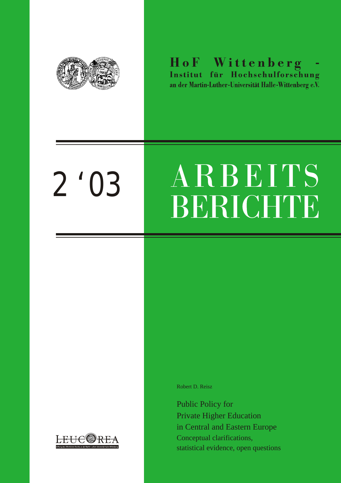

HoF Wittenberg an der Martin-Luther-Universität Halle-Wittenberg e.V.

# *2 '03*

# ARBEITS BERICHTE

*Robert D. Reisz*

*Public Policy for Private Higher Education in Central and Eastern Europe Conceptual clarifications, statistical evidence, open questions*

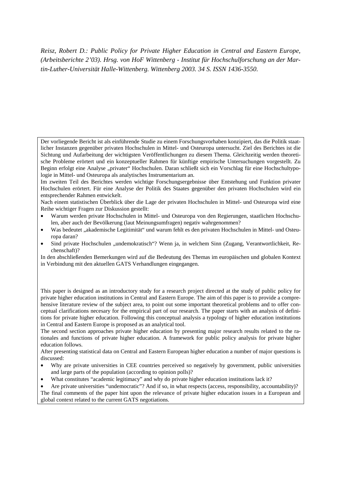*Reisz, Robert D.: Public Policy for Private Higher Education in Central and Eastern Europe, (Arbeitsberichte 2'03). Hrsg. von HoF Wittenberg - Institut für Hochschulforschung an der Martin-Luther-Universität Halle-Wittenberg. Wittenberg 2003. 34 S. ISSN 1436-3550.*

Der vorliegende Bericht ist als einführende Studie zu einem Forschungsvorhaben konzipiert, das die Politik staatlicher Instanzen gegenüber privaten Hochschulen in Mittel- und Osteuropa untersucht. Ziel des Berichtes ist die Sichtung und Aufarbeitung der wichtigsten Veröffentlichungen zu diesem Thema. Gleichzeitig werden theoretische Probleme erörtert und ein konzeptueller Rahmen für künftige empirische Untersuchungen vorgestellt. Zu Beginn erfolgt eine Analyse "privater" Hochschulen. Daran schließt sich ein Vorschlag für eine Hochschultypologie in Mittel- und Osteuropa als analytisches Instrumentarium an.

Im zweiten Teil des Berichtes werden wichtige Forschungsergebnisse über Entstehung und Funktion privater Hochschulen erörtert. Für eine Analyse der Politik des Staates gegenüber den privaten Hochschulen wird ein entsprechender Rahmen entwickelt.

Nach einem statistischen Überblick über die Lage der privaten Hochschulen in Mittel- und Osteuropa wird eine Reihe wichtiger Fragen zur Diskussion gestellt:

- Warum werden private Hochschulen in Mittel- und Osteuropa von den Regierungen, staatlichen Hochschulen, aber auch der Bevölkerung (laut Meinungsumfragen) negativ wahrgenommen?
- Was bedeutet "akademische Legitimität" und warum fehlt es den privaten Hochschulen in Mittel- und Osteuropa daran?
- Sind private Hochschulen "undemokratisch"? Wenn ja, in welchem Sinn (Zugang, Verantwortlichkeit, Rechenschaft)?

In den abschließenden Bemerkungen wird auf die Bedeutung des Themas im europäischen und globalen Kontext in Verbindung mit den aktuellen GATS Verhandlungen eingegangen.

This paper is designed as an introductory study for a research project directed at the study of public policy for private higher education institutions in Central and Eastern Europe. The aim of this paper is to provide a comprehensive literature review of the subject area, to point out some important theoretical problems and to offer conceptual clarifications necesary for the empirical part of our research. The paper starts with an analysis of definitions for private higher education. Following this conceptual analysis a typology of higher education institutions in Central and Eastern Europe is proposed as an analytical tool.

The second section approaches private higher education by presenting major research results related to the rationales and functions of private higher education. A framework for public policy analysis for private higher education follows.

After presenting statistical data on Central and Eastern European higher education a number of major questions is discussed:

- Why are private universities in CEE countries perceived so negatively by government, public universities and large parts of the population (according to opinion polls)?
- What constitutes "academic legitimacy" and why do private higher education institutions lack it?
- Are private universities "undemocratic"? And if so, in what respects (access, responsibility, accountability)?

The final comments of the paper hint upon the relevance of private higher education issues in a European and global context related to the current GATS negotiations.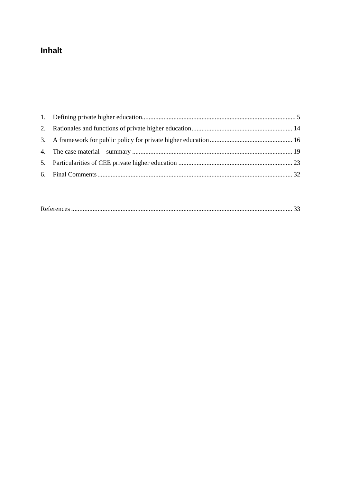# Inhalt

|--|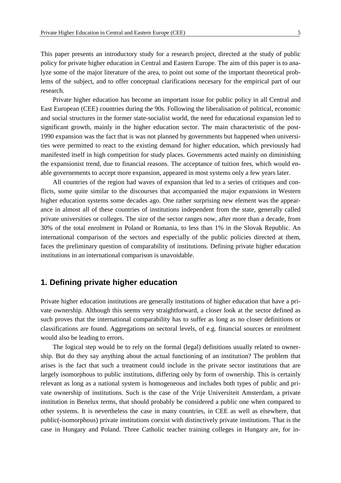This paper presents an introductory study for a research project, directed at the study of public policy for private higher education in Central and Eastern Europe. The aim of this paper is to analyze some of the major literature of the area, to point out some of the important theoretical problems of the subject, and to offer conceptual clarifications necesary for the empirical part of our research.

Private higher education has become an important issue for public policy in all Central and East European (CEE) countries during the 90s. Following the liberalisation of political, economic and social structures in the former state-socialist world, the need for educational expansion led to significant growth, mainly in the higher education sector. The main characteristic of the post-1990 expansion was the fact that is was not planned by governments but happened when universities were permitted to react to the existing demand for higher education, which previously had manifested itself in high competition for study places. Governments acted mainly on diminishing the expansionist trend, due to financial reasons. The acceptance of tuition fees, which would enable governements to accept more expansion, appeared in most systems only a few years later.

All countries of the region had waves of expansion that led to a series of critiques and conflicts, some quite similar to the discourses that accompanied the major expansions in Western higher education systems some decades ago. One rather surprising new element was the appearance in almost all of these countries of institutions independent from the state, generally called private universities or colleges. The size of the sector ranges now, after more than a decade, from 30% of the total enrolment in Poland or Romania, to less than 1% in the Slovak Republic. An international comparison of the sectors and especially of the public policies directed at them, faces the preliminary question of comparability of institutions. Defining private higher education institutions in an international comparison is unavoidable.

## **1. Defining private higher education**

Private higher education institutions are generally institutions of higher education that have a private ownership. Although this seems very straightforward, a closer look at the sector defined as such proves that the international comparability has to suffer as long as no closer definitions or classifications are found. Aggregations on sectoral levels, of e.g. financial sources or enrolment would also be leading to errors.

The logical step would be to rely on the formal (legal) definitions usually related to ownership. But do they say anything about the actual functioning of an institution? The problem that arises is the fact that such a treatment could include in the private sector institutions that are largely isomorphous to public institutions, differing only by form of ownership. This is certainly relevant as long as a national system is homogeneous and includes both types of public and private ownership of institutions. Such is the case of the Vrije Universiteit Amsterdam, a private institution in Benelux terms, that should probably be considered a public one when compared to other systems. It is nevertheless the case in many countries, in CEE as well as elsewhere, that public(-isomorphous) private institutions coexist with distinctively private institutions. That is the case in Hungary and Poland. Three Catholic teacher training colleges in Hungary are, for in-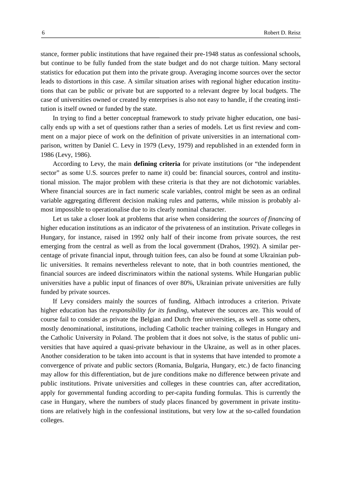stance, former public institutions that have regained their pre-1948 status as confessional schools, but continue to be fully funded from the state budget and do not charge tuition. Many sectoral statistics for education put them into the private group. Averaging income sources over the sector leads to distortions in this case. A similar situation arises with regional higher education institutions that can be public or private but are supported to a relevant degree by local budgets. The case of universities owned or created by enterprises is also not easy to handle, if the creating institution is itself owned or funded by the state.

In trying to find a better conceptual framework to study private higher education, one basically ends up with a set of questions rather than a series of models. Let us first review and comment on a major piece of work on the definition of private universities in an international comparison, written by Daniel C. Levy in 1979 (Levy, 1979) and republished in an extended form in 1986 (Levy, 1986).

According to Levy, the main **defining criteria** for private institutions (or "the independent sector" as some U.S. sources prefer to name it) could be: financial sources, control and institutional mission. The major problem with these criteria is that they are not dichotomic variables. Where financial sources are in fact numeric scale variables, control might be seen as an ordinal variable aggregating different decision making rules and patterns, while mission is probably almost impossible to operationalise due to its clearly nominal character.

Let us take a closer look at problems that arise when considering the *sources of financing* of higher education institutions as an indicator of the privateness of an institution. Private colleges in Hungary, for instance, raised in 1992 only half of their income from private sources, the rest emerging from the central as well as from the local government (Drahos, 1992). A similar percentage of private financial input, through tuition fees, can also be found at some Ukrainian public universities. It remains nevertheless relevant to note, that in both countries mentioned, the financial sources are indeed discriminators within the national systems. While Hungarian public universities have a public input of finances of over 80%, Ukrainian private universities are fully funded by private sources.

If Levy considers mainly the sources of funding, Altbach introduces a criterion. Private higher education has the *responsibility for its funding*, whatever the sources are. This would of course fail to consider as private the Belgian and Dutch free universities, as well as some others, mostly denominational, institutions, including Catholic teacher training colleges in Hungary and the Catholic University in Poland. The problem that it does not solve, is the status of public universities that have aquired a quasi-private behaviour in the Ukraine, as well as in other places. Another consideration to be taken into account is that in systems that have intended to promote a convergence of private and public sectors (Romania, Bulgaria, Hungary, etc.) de facto financing may allow for this differentiation, but de jure conditions make no difference between private and public institutions. Private universities and colleges in these countries can, after accreditation, apply for governmental funding according to per-capita funding formulas. This is currently the case in Hungary, where the numbers of study places financed by government in private institutions are relatively high in the confessional institutions, but very low at the so-called foundation colleges.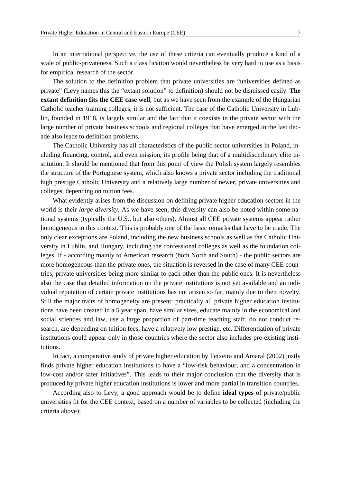In an international perspective, the use of these criteria can eventually produce a kind of a scale of public-privateness. Such a classification would nevertheless be very hard to use as a basis for empirical research of the sector.

The solution to the definition problem that private universities are "universities defined as private" (Levy names this the "extant solution" to definition) should not be dismissed easily. **The extant definition fits the CEE case well**, but as we have seen from the example of the Hungarian Catholic teacher training colleges, it is not sufficient. The case of the Catholic University in Lublin, founded in 1918, is largely similar and the fact that it coexists in the private sector with the large number of private business schools and regional colleges that have emerged in the last decade also leads to definition problems.

The Catholic University has all characteristics of the public sector universities in Poland, including financing, control, and even mission, its profile being that of a multidisciplinary elite institution. It should be mentioned that from this point of view the Polish system largely resembles the structure of the Portuguese system, which also knows a private sector including the traditional high prestige Catholic University and a relatively large number of newer, private universities and colleges, depending on tuition fees.

What evidently arises from the discussion on defining private higher education sectors in the world is their *large diversity*. As we have seen, this diversity can also be noted within some national systems (typically the U.S., but also others). Almost all CEE private systems appear rather homogeneous in this context. This is probably one of the basic remarks that have to be made. The only clear exceptions are Poland, including the new business schools as well as the Catholic University in Lublin, and Hungary, including the confessional colleges as well as the foundation colleges. If - according mainly to American research (both North and South) - the public sectors are more homogeneous than the private ones, the situation is reversed in the case of many CEE countries, private universities being more similar to each other than the public ones. It is nevertheless also the case that detailed information on the private institutions is not yet available and an individual reputation of certain private institutions has not arisen so far, mainly due to their novelty. Still the major traits of homogeneity are present: practically all private higher education institutions have been created in a 5 year span, have similar sizes, educate mainly in the economical and social sciences and law, use a large proportion of part-time teaching staff, do not conduct research, are depending on tuition fees, have a relatively low prestige, etc. Differentiation of private institutions could appear only in those countries where the sector also includes pre-existing institutions.

In fact, a comparative study of private higher education by Teixeira and Amaral (2002) justly finds private higher education institutions to have a "low-risk behaviour, and a concentration in low-cost and/or safer initiatives". This leads to their major conclusion that the diversity that is produced by private higher education institutions is lower and more partial in transition countries.

According also to Levy, a good approach would be to define **ideal types** of private/public universities fit for the CEE context, based on a number of variables to be collected (including the criteria above):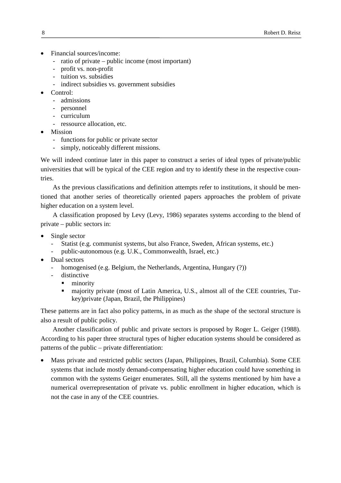- Financial sources/income:
	- ratio of private public income (most important)
	- profit vs. non-profit
	- tuition vs. subsidies
	- indirect subsidies vs. government subsidies
- Control:
	- admissions
	- personnel
	- curriculum
	- ressource allocation, etc.
- Mission
	- functions for public or private sector
	- simply, noticeably different missions.

We will indeed continue later in this paper to construct a series of ideal types of private/public universities that will be typical of the CEE region and try to identify these in the respective countries.

As the previous classifications and definition attempts refer to institutions, it should be mentioned that another series of theoretically oriented papers approaches the problem of private higher education on a system level.

A classification proposed by Levy (Levy, 1986) separates systems according to the blend of private – public sectors in:

- Single sector
	- Statist (e.g. communist systems, but also France, Sweden, African systems, etc.)
	- public-autonomous (e.g. U.K., Commonwealth, Israel, etc.)
- Dual sectors
	- homogenised (e.g. Belgium, the Netherlands, Argentina, Hungary (?))
	- distinctive
		- $\blacksquare$  minority
		- majority private (most of Latin America, U.S., almost all of the CEE countries, Turkey)private (Japan, Brazil, the Philippines)

These patterns are in fact also policy patterns, in as much as the shape of the sectoral structure is also a result of public policy.

Another classification of public and private sectors is proposed by Roger L. Geiger (1988). According to his paper three structural types of higher education systems should be considered as patterns of the public – private differentiation:

• Mass private and restricted public sectors (Japan, Philippines, Brazil, Columbia). Some CEE systems that include mostly demand-compensating higher education could have something in common with the systems Geiger enumerates. Still, all the systems mentioned by him have a numerical overrepresentation of private vs. public enrollment in higher education, which is not the case in any of the CEE countries.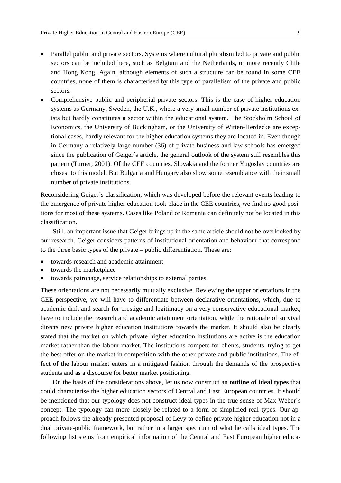- Parallel public and private sectors. Systems where cultural pluralism led to private and public sectors can be included here, such as Belgium and the Netherlands, or more recently Chile and Hong Kong. Again, although elements of such a structure can be found in some CEE countries, none of them is characterised by this type of parallelism of the private and public sectors.
- Comprehensive public and peripherial private sectors. This is the case of higher education systems as Germany, Sweden, the U.K., where a very small number of private institutions exists but hardly constitutes a sector within the educational system. The Stockholm School of Economics, the University of Buckingham, or the University of Witten-Herdecke are exceptional cases, hardly relevant for the higher education systems they are located in. Even though in Germany a relatively large number (36) of private business and law schools has emerged since the publication of Geiger´s article, the general outlook of the system still resembles this pattern (Turner, 2001). Of the CEE countries, Slovakia and the former Yugoslav countries are closest to this model. But Bulgaria and Hungary also show some resemblance with their small number of private institutions.

Reconsidering Geiger´s classification, which was developed before the relevant events leading to the emergence of private higher education took place in the CEE countries, we find no good positions for most of these systems. Cases like Poland or Romania can definitely not be located in this classification.

Still, an important issue that Geiger brings up in the same article should not be overlooked by our research. Geiger considers patterns of institutional orientation and behaviour that correspond to the three basic types of the private – public differentiation. These are:

- towards research and academic attainment
- towards the marketplace
- towards patronage, service relationships to external parties.

These orientations are not necessarily mutually exclusive. Reviewing the upper orientations in the CEE perspective, we will have to differentiate between declarative orientations, which, due to academic drift and search for prestige and legitimacy on a very conservative educational market, have to include the research and academic attainment orientation, while the rationale of survival directs new private higher education institutions towards the market. It should also be clearly stated that the market on which private higher education institutions are active is the education market rather than the labour market. The institutions compete for clients, students, trying to get the best offer on the market in competition with the other private and public institutions. The effect of the labour market enters in a mitigated fashion through the demands of the prospective students and as a discourse for better market positioning.

On the basis of the considerations above, let us now construct an **outline of ideal types** that could characterise the higher education sectors of Central and East European countries. It should be mentioned that our typology does not construct ideal types in the true sense of Max Weber´s concept. The typology can more closely be related to a form of simplified real types. Our approach follows the already presented proposal of Levy to define private higher education not in a dual private-public framework, but rather in a larger spectrum of what he calls ideal types. The following list stems from empirical information of the Central and East European higher educa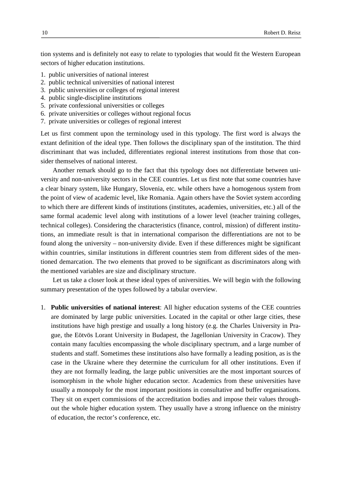tion systems and is definitely not easy to relate to typologies that would fit the Western European sectors of higher education institutions.

- 1. public universities of national interest
- 2. public technical universities of national interest
- 3. public universities or colleges of regional interest
- 4. public single-discipline institutions
- 5. private confessional universities or colleges
- 6. private universities or colleges without regional focus
- 7. private universities or colleges of regional interest

Let us first comment upon the terminology used in this typology. The first word is always the extant definition of the ideal type. Then follows the disciplinary span of the institution. The third discriminant that was included, differentiates regional interest institutions from those that consider themselves of national interest.

Another remark should go to the fact that this typology does not differentiate between university and non-university sectors in the CEE countries. Let us first note that some countries have a clear binary system, like Hungary, Slovenia, etc. while others have a homogenous system from the point of view of academic level, like Romania. Again others have the Soviet system according to which there are different kinds of institutions (institutes, academies, universities, etc.) all of the same formal academic level along with institutions of a lower level (teacher training colleges, technical colleges). Considering the characteristics (finance, control, mission) of different institutions, an immediate result is that in international comparison the differentiations are not to be found along the university – non-university divide. Even if these differences might be significant within countries, similar institutions in different countries stem from different sides of the mentioned demarcation. The two elements that proved to be significant as discriminators along with the mentioned variables are size and disciplinary structure.

Let us take a closer look at these ideal types of universities. We will begin with the following summary presentation of the types followed by a tabular overview.

1. **Public universities of national interest**: All higher education systems of the CEE countries are dominated by large public universities. Located in the capital or other large cities, these institutions have high prestige and usually a long history (e.g. the Charles University in Prague, the Eötvös Lorant University in Budapest, the Jagellonian University in Cracow). They contain many faculties encompassing the whole disciplinary spectrum, and a large number of students and staff. Sometimes these institutions also have formally a leading position, as is the case in the Ukraine where they determine the curriculum for all other institutions. Even if they are not formally leading, the large public universities are the most important sources of isomorphism in the whole higher education sector. Academics from these universities have usually a monopoly for the most important positions in consultative and buffer organisations. They sit on expert commissions of the accreditation bodies and impose their values throughout the whole higher education system. They usually have a strong influence on the ministry of education, the rector's conference, etc.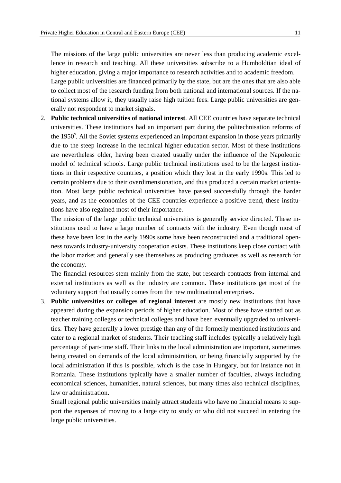The missions of the large public universities are never less than producing academic excellence in research and teaching. All these universities subscribe to a Humboldtian ideal of higher education, giving a major importance to research activities and to academic freedom. Large public universities are financed primarily by the state, but are the ones that are also able to collect most of the research funding from both national and international sources. If the national systems allow it, they usually raise high tuition fees. Large public universities are generally not respondent to market signals.

2. **Public technical universities of national interest**. All CEE countries have separate technical universities. These institutions had an important part during the politechnisation reforms of the 1950<sup>s</sup>. All the Soviet systems experienced an important expansion in those years primarily due to the steep increase in the technical higher education sector. Most of these institutions are nevertheless older, having been created usually under the influence of the Napoleonic model of technical schools. Large public technical institutions used to be the largest institutions in their respective countries, a position which they lost in the early 1990s. This led to certain problems due to their overdimensionation, and thus produced a certain market orientation. Most large public technical universities have passed successfully through the harder years, and as the economies of the CEE countries experience a positive trend, these institutions have also regained most of their importance.

The mission of the large public technical universities is generally service directed. These institutions used to have a large number of contracts with the industry. Even though most of these have been lost in the early 1990s some have been reconstructed and a traditional openness towards industry-university cooperation exists. These institutions keep close contact with the labor market and generally see themselves as producing graduates as well as research for the economy.

The financial resources stem mainly from the state, but research contracts from internal and external institutions as well as the industry are common. These institutions get most of the voluntary support that usually comes from the new multinational enterprises.

3. **Public universities or colleges of regional interest** are mostly new institutions that have appeared during the expansion periods of higher education. Most of these have started out as teacher training colleges or technical colleges and have been eventually upgraded to universities. They have generally a lower prestige than any of the formerly mentioned institutions and cater to a regional market of students. Their teaching staff includes typically a relatively high percentage of part-time staff. Their links to the local administration are important, sometimes being created on demands of the local administration, or being financially supported by the local administration if this is possible, which is the case in Hungary, but for instance not in Romania. These institutions typically have a smaller number of faculties, always including economical sciences, humanities, natural sciences, but many times also technical disciplines, law or administration.

Small regional public universities mainly attract students who have no financial means to support the expenses of moving to a large city to study or who did not succeed in entering the large public universities.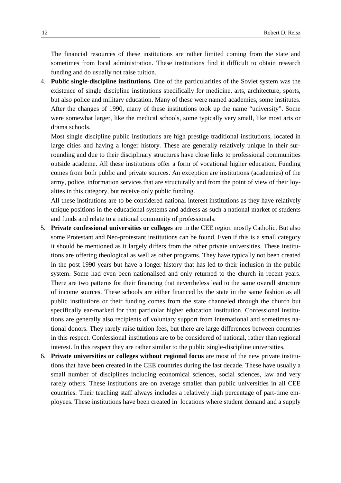The financial resources of these institutions are rather limited coming from the state and sometimes from local administration. These institutions find it difficult to obtain research funding and do usually not raise tuition.

4. **Public single-discipline institutions.** One of the particularities of the Soviet system was the existence of single discipline institutions specifically for medicine, arts, architecture, sports, but also police and military education. Many of these were named academies, some institutes. After the changes of 1990, many of these institutions took up the name "university". Some were somewhat larger, like the medical schools, some typically very small, like most arts or drama schools.

Most single discipline public institutions are high prestige traditional institutions, located in large cities and having a longer history. These are generally relatively unique in their surrounding and due to their disciplinary structures have close links to professional communities outside academe. All these institutions offer a form of vocational higher education. Funding comes from both public and private sources. An exception are institutions (academies) of the army, police, information services that are structurally and from the point of view of their loyalties in this category, but receive only public funding.

All these institutions are to be considered national interest institutions as they have relatively unique positions in the educational systems and address as such a national market of students and funds and relate to a national community of professionals.

- 5. **Private confessional universities or colleges** are in the CEE region mostly Catholic. But also some Protestant and Neo-protestant institutions can be found. Even if this is a small category it should be mentioned as it largely differs from the other private universities. These institutions are offering theological as well as other programs. They have typically not been created in the post-1990 years but have a longer history that has led to their inclusion in the public system. Some had even been nationalised and only returned to the church in recent years. There are two patterns for their financing that nevertheless lead to the same overall structure of income sources. These schools are either financed by the state in the same fashion as all public institutions or their funding comes from the state channeled through the church but specifically ear-marked for that particular higher education institution. Confessional institutions are generally also recipients of voluntary support from international and sometimes national donors. They rarely raise tuition fees, but there are large differences between countries in this respect. Confessional institutions are to be considered of national, rather than regional interest. In this respect they are rather similar to the public single-discipline universities.
- 6. **Private universities or colleges without regional focus** are most of the new private institutions that have been created in the CEE countries during the last decade. These have usually a small number of disciplines including economical sciences, social sciences, law and very rarely others. These institutions are on average smaller than public universities in all CEE countries. Their teaching staff always includes a relatively high percentage of part-time employees. These institutions have been created in locations where student demand and a supply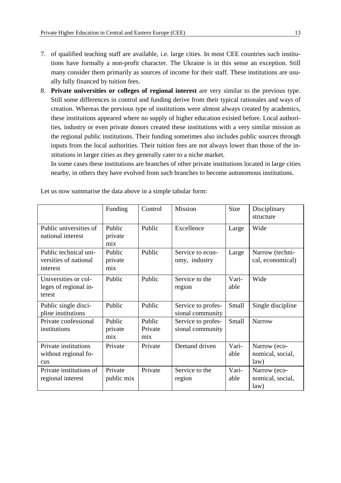- 7. of qualified teaching staff are available, i.e. large cities. In most CEE countries such institutions have formally a non-profit character. The Ukraine is in this sense an exception. Still many consider them primarily as sources of income for their staff. These institutions are usually fully financed by tuition fees.
- 8. **Private universities or colleges of regional interest** are very similar to the previous type. Still some differences in control and funding derive from their typical rationales and ways of creation. Whereas the previous type of institutions were almost always created by academics, these institutions appeared where no supply of higher education existed before. Local authorities, industry or even private donors created these institutions with a very similar mission as the regional public institutions. Their funding sometimes also includes public sources through inputs from the local authorities. Their tuition fees are not always lower than those of the institutions in larger cities as they generally cater to a niche market.

In some cases these institutions are branches of other private institutions located in large cities nearby, in others they have evolved from such branches to become autonomous institutions.

|                                                            | Funding                  | Control                  | Mission                                | Size          | Disciplinary<br>structure                |
|------------------------------------------------------------|--------------------------|--------------------------|----------------------------------------|---------------|------------------------------------------|
| Public universities of<br>national interest                | Public<br>private<br>mix | Public                   | Excellence                             | Large         | Wide                                     |
| Public technical uni-<br>versities of national<br>interest | Public<br>private<br>mix | Public                   | Service to econ-<br>omy, industry      | Large         | Narrow (techni-<br>cal, economical)      |
| Universities or col-<br>leges of regional in-<br>terest    | Public                   | Public                   | Service to the<br>region               | Vari-<br>able | Wide                                     |
| Public single disci-<br>pline institutions                 | Public                   | Public                   | Service to profes-<br>sional community | Small         | Single discipline                        |
| Private confessional<br>institutions                       | Public<br>private<br>mix | Public<br>Private<br>mix | Service to profes-<br>sional community | Small         | <b>Narrow</b>                            |
| Private institutions<br>without regional fo-<br>cus        | Private                  | Private                  | Demand driven                          | Vari-<br>able | Narrow (eco-<br>nomical, social,<br>law) |
| Private institutions of<br>regional interest               | Private<br>public mix    | Private                  | Service to the<br>region               | Vari-<br>able | Narrow (eco-<br>nomical, social,<br>law) |

Let us now summarise the data above in a simple tabular form: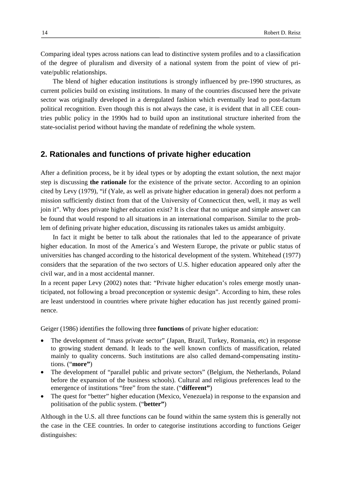Comparing ideal types across nations can lead to distinctive system profiles and to a classification of the degree of pluralism and diversity of a national system from the point of view of private/public relationships.

The blend of higher education institutions is strongly influenced by pre-1990 structures, as current policies build on existing institutions. In many of the countries discussed here the private sector was originally developed in a deregulated fashion which eventually lead to post-factum political recognition. Even though this is not always the case, it is evident that in all CEE countries public policy in the 1990s had to build upon an institutional structure inherited from the state-socialist period without having the mandate of redefining the whole system.

## **2. Rationales and functions of private higher education**

After a definition process, be it by ideal types or by adopting the extant solution, the next major step is discussing **the rationale** for the existence of the private sector. According to an opinion cited by Levy (1979), "if (Yale, as well as private higher education in general) does not perform a mission sufficiently distinct from that of the University of Connecticut then, well, it may as well join it". Why does private higher education exist? It is clear that no unique and simple answer can be found that would respond to all situations in an international comparison. Similar to the problem of defining private higher education, discussing its rationales takes us amidst ambiguity.

In fact it might be better to talk about the rationales that led to the appearance of private higher education. In most of the America´s and Western Europe, the private or public status of universities has changed according to the historical development of the system. Whitehead (1977) considers that the separation of the two sectors of U.S. higher education appeared only after the civil war, and in a most accidental manner.

In a recent paper Levy (2002) notes that: "Private higher education's roles emerge mostly unanticipated, not following a broad preconception or systemic design". According to him, these roles are least understood in countries where private higher education has just recently gained prominence.

Geiger (1986) identifies the following three **functions** of private higher education:

- The development of "mass private sector" (Japan, Brazil, Turkey, Romania, etc) in response to growing student demand. It leads to the well known conflicts of massification, related mainly to quality concerns. Such institutions are also called demand-compensating institutions. ("**more"**)
- The development of "parallel public and private sectors" (Belgium, the Netherlands, Poland before the expansion of the business schools). Cultural and religious preferences lead to the emergence of institutions "free" from the state. ("**different"**)
- The quest for "better" higher education (Mexico, Venezuela) in response to the expansion and politisation of the public system. ("**better"**)

Although in the U.S. all three functions can be found within the same system this is generally not the case in the CEE countries. In order to categorise institutions according to functions Geiger distinguishes: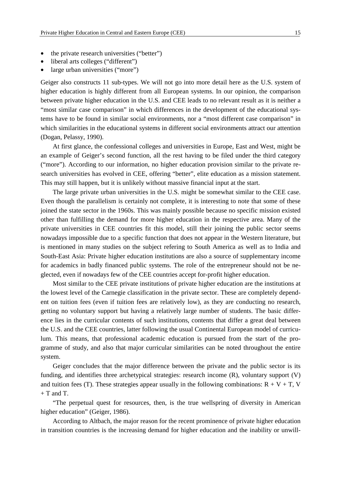- the private research universities ("better")
- liberal arts colleges ("different")
- large urban universities ("more")

Geiger also constructs 11 sub-types. We will not go into more detail here as the U.S. system of higher education is highly different from all European systems. In our opinion, the comparison between private higher education in the U.S. and CEE leads to no relevant result as it is neither a "most similar case comparison" in which differences in the development of the educational systems have to be found in similar social environments, nor a "most different case comparison" in which similarities in the educational systems in different social environments attract our attention (Dogan, Pelassy, 1990).

At first glance, the confessional colleges and universities in Europe, East and West, might be an example of Geiger's second function, all the rest having to be filed under the third category ("more"). According to our information, no higher education provision similar to the private research universities has evolved in CEE, offering "better", elite education as a mission statement. This may still happen, but it is unlikely without massive financial input at the start.

The large private urban universities in the U.S. might be somewhat similar to the CEE case. Even though the parallelism is certainly not complete, it is interesting to note that some of these joined the state sector in the 1960s. This was mainly possible because no specific mission existed other than fulfilling the demand for more higher education in the respective area. Many of the private universities in CEE countries fit this model, still their joining the public sector seems nowadays impossible due to a specific function that does not appear in the Western literature, but is mentioned in many studies on the subject refering to South America as well as to India and South-East Asia: Private higher education institutions are also a source of supplementary income for academics in badly financed public systems. The role of the entrepreneur should not be neglected, even if nowadays few of the CEE countries accept for-profit higher education.

Most similar to the CEE private institutions of private higher education are the institutions at the lowest level of the Carnegie classification in the private sector. These are completely dependent on tuition fees (even if tuition fees are relatively low), as they are conducting no research, getting no voluntary support but having a relatively large number of students. The basic difference lies in the curricular contents of such institutions, contents that differ a great deal between the U.S. and the CEE countries, latter following the usual Continental European model of curriculum. This means, that professional academic education is pursued from the start of the programme of study, and also that major curricular similarities can be noted throughout the entire system.

Geiger concludes that the major difference between the private and the public sector is its funding, and identifies three archetypical strategies: research income (R), voluntary support (V) and tuition fees (T). These strategies appear usually in the following combinations:  $R + V + T$ , V  $+$  T and T.

"The perpetual quest for resources, then, is the true wellspring of diversity in American higher education" (Geiger, 1986).

According to Altbach, the major reason for the recent prominence of private higher education in transition countries is the increasing demand for higher education and the inability or unwill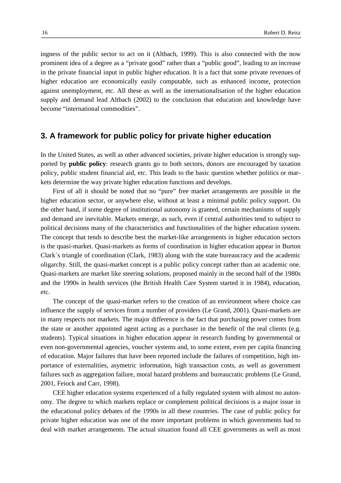ingness of the public sector to act on it (Altbach, 1999). This is also connected with the now prominent idea of a degree as a "private good" rather than a "public good", leading to an increase in the private financial input in public higher education. It is a fact that some private revenues of higher education are economically easily computable, such as enhanced income, protection against unemployment, etc. All these as well as the internationalisation of the higher education supply and demand lead Altbach (2002) to the conclusion that education and knowledge have become "international commodities".

# **3. A framework for public policy for private higher education**

In the United States, as well as other advanced societies, private higher education is strongly supported by **public policy**: research grants go to both sectors, donors are encouraged by taxation policy, public student financial aid, etc. This leads to the basic question whether politics or markets determine the way private higher education functions and develops.

First of all it should be noted that no "pure" free market arrangements are possible in the higher education sector, or anywhere else, without at least a minimal public policy support. On the other hand, if some degree of institutional autonomy is granted, certain mechanisms of supply and demand are inevitable. Markets emerge, as such, even if central authorities tend to subject to political decisions many of the characteristics and functionalities of the higher education system. The concept that tends to describe best the market-like arrangements in higher education sectors is the quasi-market. Quasi-markets as forms of coordination in higher education appear in Burton Clark´s triangle of coordination (Clark, 1983) along with the state bureaucracy and the academic oligarchy. Still, the quasi-market concept is a public policy concept rather than an academic one. Quasi-markets are market like steering solutions, proposed mainly in the second half of the 1980s and the 1990s in health services (the British Health Care System started it in 1984), education, etc.

The concept of the quasi-market refers to the creation of an environment where choice can influence the supply of services from a number of providers (Le Grand, 2001). Quasi-markets are in many respects not markets. The major difference is the fact that purchasing power comes from the state or another appointed agent acting as a purchaser in the benefit of the real clients (e.g. students). Typical situations in higher education appear in research funding by governmental or even non-governmental agencies, voucher systems and, to some extent, even per capita financing of education. Major failures that have been reported include the failures of competition, high importance of externalities, asymetric information, high transaction costs, as well as government failures such as aggregation failure, moral hazard problems and bureaucratic problems (Le Grand, 2001, Feiock and Carr, 1998).

CEE higher education systems experienced of a fully regulated system with almost no autonomy. The degree to which markets replace or complement political decisions is a major issue in the educational policy debates of the 1990s in all these countries. The case of public policy for private higher education was one of the more important problems in which governments had to deal with market arrangements. The actual situation found all CEE governments as well as most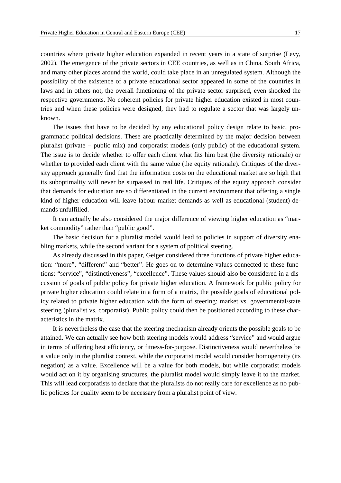countries where private higher education expanded in recent years in a state of surprise (Levy, 2002). The emergence of the private sectors in CEE countries, as well as in China, South Africa, and many other places around the world, could take place in an unregulated system. Although the possibility of the existence of a private educational sector appeared in some of the countries in laws and in others not, the overall functioning of the private sector surprised, even shocked the respective governments. No coherent policies for private higher education existed in most countries and when these policies were designed, they had to regulate a sector that was largely unknown.

The issues that have to be decided by any educational policy design relate to basic, programmatic political decisions. These are practically determined by the major decision between pluralist (private – public mix) and corporatist models (only public) of the educational system. The issue is to decide whether to offer each client what fits him best (the diversity rationale) or whether to provided each client with the same value (the equity rationale). Critiques of the diversity approach generally find that the information costs on the educational market are so high that its suboptimality will never be surpassed in real life. Critiques of the equity approach consider that demands for education are so differentiated in the current environment that offering a single kind of higher education will leave labour market demands as well as educational (student) demands unfulfilled.

It can actually be also considered the major difference of viewing higher education as "market commodity" rather than "public good".

The basic decision for a pluralist model would lead to policies in support of diversity enabling markets, while the second variant for a system of political steering.

As already discussed in this paper, Geiger considered three functions of private higher education: "more", "different" and "better". He goes on to determine values connected to these functions: "service", "distinctiveness", "excellence". These values should also be considered in a discussion of goals of public policy for private higher education. A framework for public policy for private higher education could relate in a form of a matrix, the possible goals of educational policy related to private higher education with the form of steering: market vs. governmental/state steering (pluralist vs. corporatist). Public policy could then be positioned according to these characteristics in the matrix.

It is nevertheless the case that the steering mechanism already orients the possible goals to be attained. We can actually see how both steering models would address "service" and would argue in terms of offering best efficiency, or fitness-for-purpose. Distinctiveness would nevertheless be a value only in the pluralist context, while the corporatist model would consider homogeneity (its negation) as a value. Excellence will be a value for both models, but while corporatist models would act on it by organising structures, the pluralist model would simply leave it to the market. This will lead corporatists to declare that the pluralists do not really care for excellence as no public policies for quality seem to be necessary from a pluralist point of view.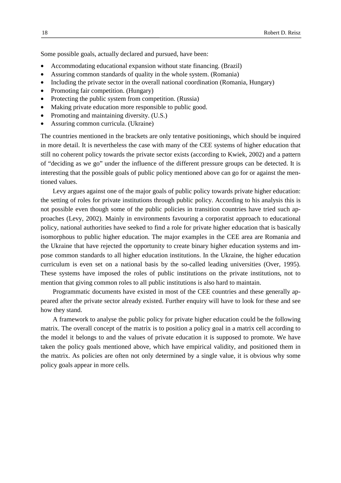Some possible goals, actually declared and pursued, have been:

- Accommodating educational expansion without state financing. (Brazil)
- Assuring common standards of quality in the whole system. (Romania)
- Including the private sector in the overall national coordination (Romania, Hungary)
- Promoting fair competition. (Hungary)
- Protecting the public system from competition. (Russia)
- Making private education more responsible to public good.
- Promoting and maintaining diversity. (U.S.)
- Assuring common curricula. (Ukraine)

The countries mentioned in the brackets are only tentative positionings, which should be inquired in more detail. It is nevertheless the case with many of the CEE systems of higher education that still no coherent policy towards the private sector exists (according to Kwiek, 2002) and a pattern of "deciding as we go" under the influence of the different pressure groups can be detected. It is interesting that the possible goals of public policy mentioned above can go for or against the mentioned values.

Levy argues against one of the major goals of public policy towards private higher education: the setting of roles for private institutions through public policy. According to his analysis this is not possible even though some of the public policies in transition countries have tried such approaches (Levy, 2002). Mainly in environments favouring a corporatist approach to educational policy, national authorities have seeked to find a role for private higher education that is basically isomorphous to public higher education. The major examples in the CEE area are Romania and the Ukraine that have rejected the opportunity to create binary higher education systems and impose common standards to all higher education institutions. In the Ukraine, the higher education curriculum is even set on a national basis by the so-called leading universities (Over, 1995). These systems have imposed the roles of public institutions on the private institutions, not to mention that giving common roles to all public institutions is also hard to maintain.

Programmatic documents have existed in most of the CEE countries and these generally appeared after the private sector already existed. Further enquiry will have to look for these and see how they stand.

A framework to analyse the public policy for private higher education could be the following matrix. The overall concept of the matrix is to position a policy goal in a matrix cell according to the model it belongs to and the values of private education it is supposed to promote. We have taken the policy goals mentioned above, which have empirical validity, and positioned them in the matrix. As policies are often not only determined by a single value, it is obvious why some policy goals appear in more cells.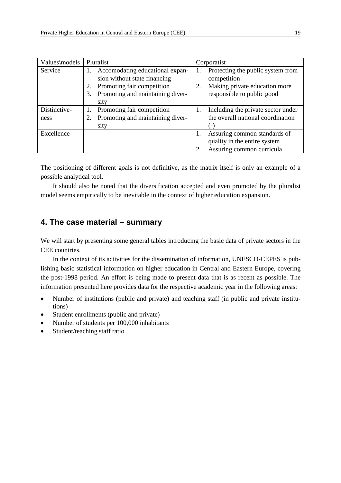| Values\models |    | Pluralist                        |    | Corporatist                        |
|---------------|----|----------------------------------|----|------------------------------------|
| Service       |    | Accomodating educational expan-  |    | Protecting the public system from  |
|               |    | sion without state financing     |    | competition                        |
|               |    | Promoting fair competition       | 2. | Making private education more      |
|               | 3. | Promoting and maintaining diver- |    | responsible to public good         |
|               |    | sity                             |    |                                    |
| Distinctive-  |    | Promoting fair competition       | 1. | Including the private sector under |
| ness          | 2. | Promoting and maintaining diver- |    | the overall national coordination  |
|               |    | sity                             |    |                                    |
| Excellence    |    |                                  |    | Assuring common standards of       |
|               |    |                                  |    | quality in the entire system       |
|               |    |                                  |    | Assuring common curricula          |

The positioning of different goals is not definitive, as the matrix itself is only an example of a possible analytical tool.

It should also be noted that the diversification accepted and even promoted by the pluralist model seems empirically to be inevitable in the context of higher education expansion.

# **4. The case material – summary**

We will start by presenting some general tables introducing the basic data of private sectors in the CEE countries.

In the context of its activities for the dissemination of information, UNESCO-CEPES is publishing basic statistical information on higher education in Central and Eastern Europe, covering the post-1998 period. An effort is being made to present data that is as recent as possible. The information presented here provides data for the respective academic year in the following areas:

- Number of institutions (public and private) and teaching staff (in public and private institutions)
- Student enrollments (public and private)
- Number of students per 100,000 inhabitants
- Student/teaching staff ratio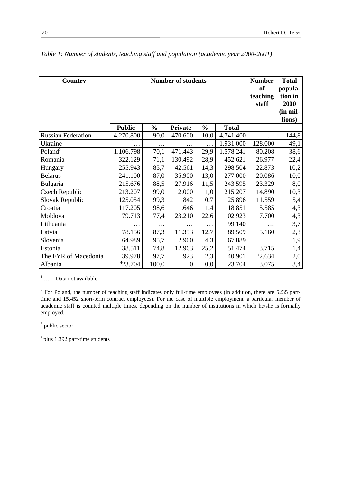| Country                   |               | <b>Number</b><br><b>of</b><br>teaching<br>staff | <b>Total</b><br>popula-<br>tion in<br>2000<br>(in mil-<br>lions) |               |              |          |       |
|---------------------------|---------------|-------------------------------------------------|------------------------------------------------------------------|---------------|--------------|----------|-------|
|                           | <b>Public</b> | $\frac{0}{0}$                                   | Private                                                          | $\frac{0}{0}$ | <b>Total</b> |          |       |
| <b>Russian Federation</b> | 4.270.800     | 90,0                                            | 470.600                                                          | 10,0          | 4.741.400    |          | 144,8 |
| Ukraine                   | 1<br>.        | $\cdots$                                        | $\cdots$                                                         | .             | 1.931.000    | 128.000  | 49,1  |
| Poland <sup>2</sup>       | 1.106.798     | 70,1                                            | 471.443                                                          | 29,9          | 1.578.241    | 80.208   | 38,6  |
| Romania                   | 322.129       | 71,1                                            | 130.492                                                          | 28,9          | 452.621      | 26.977   | 22,4  |
| Hungary                   | 255.943       | 85,7                                            | 42.561                                                           | 14,3          | 298.504      | 22.873   | 10,2  |
| <b>Belarus</b>            | 241.100       | 87,0                                            | 35.900                                                           | 13,0          | 277.000      | 20.086   | 10,0  |
| Bulgaria                  | 215.676       | 88,5                                            | 27.916                                                           | 11,5          | 243.595      | 23.329   | 8,0   |
| Czech Republic            | 213.207       | 99,0                                            | 2.000                                                            | 1,0           | 215.207      | 14.890   | 10,3  |
| Slovak Republic           | 125.054       | 99,3                                            | 842                                                              | 0,7           | 125.896      | 11.559   | 5,4   |
| Croatia                   | 117.205       | 98,6                                            | 1.646                                                            | 1,4           | 118.851      | 5.585    | 4,3   |
| Moldova                   | 79.713        | 77,4                                            | 23.210                                                           | 22,6          | 102.923      | 7.700    | 4,3   |
| Lithuania                 | $\cdots$      | $\ddots$                                        | .                                                                | $\cdots$      | 99.140       | $\cdots$ | 3,7   |
| Latvia                    | 78.156        | 87,3                                            | 11.353                                                           | 12,7          | 89.509       | 5.160    | 2,3   |
| Slovenia                  | 64.989        | 95,7                                            | 2.900                                                            | 4,3           | 67.889       | $\cdots$ | 1,9   |
| Estonia                   | 38.511        | 74,8                                            | 12.963                                                           | 25,2          | 51.474       | 3.715    | 1,4   |
| The FYR of Macedonia      | 39.978        | 97,7                                            | 923                                                              | 2,3           | 40.901       | 32.634   | 2,0   |
| Albania                   | 423.704       | 100,0                                           | $\boldsymbol{0}$                                                 | 0,0           | 23.704       | 3.075    | 3,4   |

*Table 1: Number of students, teaching staff and population (academic year 2000-2001)*

 $1 \dots$  = Data not available

 $2$  For Poland, the number of teaching staff indicates only full-time employees (in addition, there are 5235 parttime and 15.452 short-term contract employees). For the case of multiple employment, a particular member of academic staff is counted multiple times, depending on the number of institutions in which he/she is formally employed.

<sup>3</sup> public sector

 $4$  plus 1.392 part-time students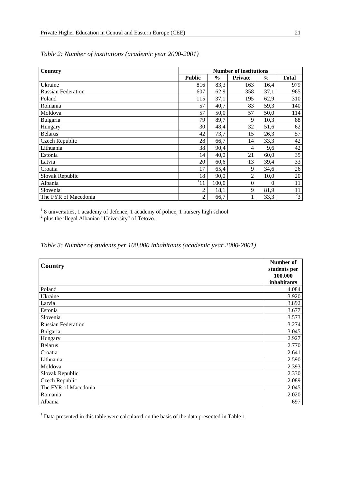| Country                   | <b>Number of institutions</b> |               |                  |               |              |
|---------------------------|-------------------------------|---------------|------------------|---------------|--------------|
|                           | <b>Public</b>                 | $\frac{6}{6}$ | <b>Private</b>   | $\frac{6}{9}$ | <b>Total</b> |
| Ukraine                   | 816                           | 83,3          | 163              | 16,4          | 979          |
| <b>Russian Federation</b> | 607                           | 62,9          | 358              | 37,1          | 965          |
| Poland                    | 115                           | 37,1          | 195              | 62,9          | 310          |
| Romania                   | 57                            | 40,7          | 83               | 59,3          | 140          |
| Moldova                   | 57                            | 50,0          | 57               | 50,0          | 114          |
| Bulgaria                  | 79                            | 89,7          | 9                | 10,3          | 88           |
| Hungary                   | 30                            | 48,4          | 32               | 51,6          | 62           |
| <b>Belarus</b>            | 42                            | 73,7          | 15               | 26,3          | 57           |
| Czech Republic            | 28                            | 66,7          | 14               | 33,3          | 42           |
| Lithuania                 | 38                            | 90,4          | 4                | 9,6           | 42           |
| Estonia                   | 14                            | 40,0          | 21               | 60,0          | 35           |
| Latvia                    | 20                            | 60,6          | 13               | 39,4          | 33           |
| Croatia                   | 17                            | 65,4          | 9                | 34,6          | 26           |
| Slovak Republic           | 18                            | 90,0          | $\overline{2}$   | 10,0          | 20           |
| Albania                   | 111                           | 100,0         | $\boldsymbol{0}$ | $\Omega$      | 11           |
| Slovenia                  | $\overline{2}$                | 18,1          | 9                | 81,9          | 11           |
| The FYR of Macedonia      | $\overline{2}$                | 66,7          |                  | 33,3          | $^{2}3$      |

*Table 2: Number of institutions (academic year 2000-2001)*

 $18$  universities, 1 academy of defence, 1 academy of police, 1 nursery high school

 $2$  plus the illegal Albanian "University" of Tetovo.

*Table 3: Number of students per 100,000 inhabitants (academic year 2000-2001)*

| Country                   | Number of<br>students per<br>100.000 |
|---------------------------|--------------------------------------|
|                           | inhabitants                          |
| Poland                    | 4.084                                |
| Ukraine                   | 3.920                                |
| Latvia                    | 3.892                                |
| Estonia                   | 3.677                                |
| Slovenia                  | 3.573                                |
| <b>Russian Federation</b> | 3.274                                |
| Bulgaria                  | 3.045                                |
| Hungary                   | 2.927                                |
| <b>Belarus</b>            | 2.770                                |
| Croatia                   | 2.641                                |
| Lithuania                 | 2.590                                |
| Moldova                   | 2.393                                |
| Slovak Republic           | 2.330                                |
| Czech Republic            | 2.089                                |
| The FYR of Macedonia      | 2.045                                |
| Romania                   | 2.020                                |
| Albania                   | 697                                  |

<sup>1</sup> Data presented in this table were calculated on the basis of the data presented in Table 1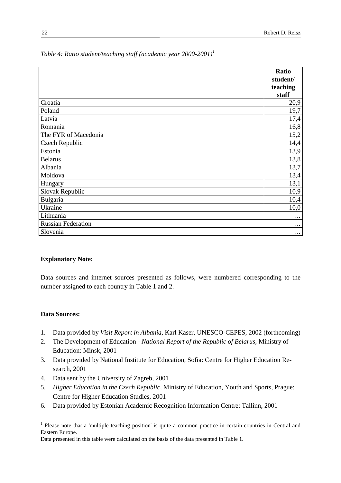|                           | Ratio    |
|---------------------------|----------|
|                           | student/ |
|                           | teaching |
|                           | staff    |
| Croatia                   | 20,9     |
| Poland                    | 19,7     |
| Latvia                    | 17,4     |
| Romania                   | 16,8     |
| The FYR of Macedonia      | 15,2     |
| Czech Republic            | 14,4     |
| Estonia                   | 13,9     |
| <b>Belarus</b>            | 13,8     |
| Albania                   | 13,7     |
| Moldova                   | 13,4     |
| Hungary                   | 13,1     |
| Slovak Republic           | 10,9     |
| Bulgaria                  | 10,4     |
| Ukraine                   | 10,0     |
| Lithuania                 | $\cdots$ |
| <b>Russian Federation</b> | $\cdots$ |
| Slovenia                  | $\cdots$ |

*Table 4: Ratio student/teaching staff (academic year 2000-2001)<sup>1</sup>*

#### **Explanatory Note:**

Data sources and internet sources presented as follows, were numbered corresponding to the number assigned to each country in Table 1 and 2.

#### **Data Sources:**

- 1. Data provided by *Visit Report in Albania*, Karl Kaser, UNESCO-CEPES, 2002 (forthcoming)
- 2. The Development of Education *National Report of the Republic of Belarus,* Ministry of Education: Minsk, 2001
- 3. Data provided by National Institute for Education*,* Sofia: Centre for Higher Education Research*,* 2001
- 4. Data sent by the University of Zagreb, 2001
- 5. *Higher Education in the Czech Republic,* Ministry of Education, Youth and Sports, Prague: Centre for Higher Education Studies, 2001
- 6. Data provided by Estonian Academic Recognition Information Centre: Tallinn, 2001

<sup>&</sup>lt;sup>1</sup> Please note that a 'multiple teaching position' is quite a common practice in certain countries in Central and Eastern Europe.

Data presented in this table were calculated on the basis of the data presented in Table 1.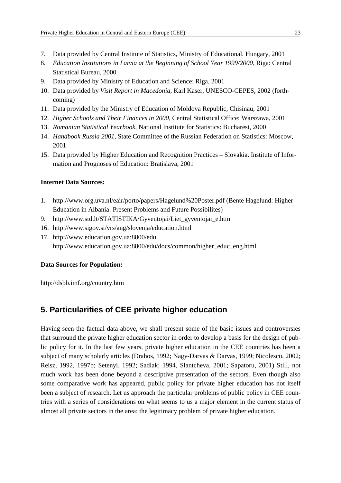- 7. Data provided by Central Institute of Statistics, Ministry of Educational. Hungary, 2001
- 8. *Education Institutions in Latvia at the Beginning of School Year 1999/2000*, Riga: Central Statistical Bureau, 2000
- 9. Data provided by Ministry of Education and Science: Riga, 2001
- 10. Data provided by *Visit Report in Macedonia*, Karl Kaser, UNESCO-CEPES, 2002 (forthcoming)
- 11. Data provided by the Ministry of Education of Moldova Republic, Chisinau, 2001
- 12. *Higher Schools and Their Finances in 2000,* Central Statistical Office: Warszawa, 2001
- 13. *Romanian Statistical Yearbook*, National Institute for Statistics: Bucharest, 2000
- 14. *Handbook Russia 2001*, State Committee of the Russian Federation on Statistics: Moscow, 2001
- 15. Data provided by Higher Education and Recognition Practices Slovakia. Institute of Information and Prognoses of Education: Bratislava, 2001

#### **Internet Data Sources:**

- 1. http://www.org.uva.nl/eair/porto/papers/Hagelund%20Poster.pdf (Bente Hagelund: Higher Education in Albania: Present Problems and Future Possibilites)
- 9. http://www.std.lt/STATISTIKA/Gyventojai/Liet\_gyventojai\_e.htm
- 16. http://www.sigov.si/vrs/ang/slovenia/education.html
- 17. http://www.education.gov.ua:8800/edu http://www.education.gov.ua:8800/edu/docs/common/higher\_educ\_eng.html

#### **Data Sources for Population:**

http://dsbb.imf.org/country.htm

# **5. Particularities of CEE private higher education**

Having seen the factual data above, we shall present some of the basic issues and controversies that surround the private higher education sector in order to develop a basis for the design of public policy for it. In the last few years, private higher education in the CEE countries has been a subject of many scholarly articles (Drahos, 1992; Nagy-Darvas & Darvas, 1999; Nicolescu, 2002; Reisz, 1992, 1997b; Setenyi, 1992; Sadlak; 1994, Slantcheva, 2001; Sapatoru, 2001) Still, not much work has been done beyond a descriptive presentation of the sectors. Even though also some comparative work has appeared, public policy for private higher education has not itself been a subject of research. Let us approach the particular problems of public policy in CEE countries with a series of considerations on what seems to us a major element in the current status of almost all private sectors in the area: the legitimacy problem of private higher education.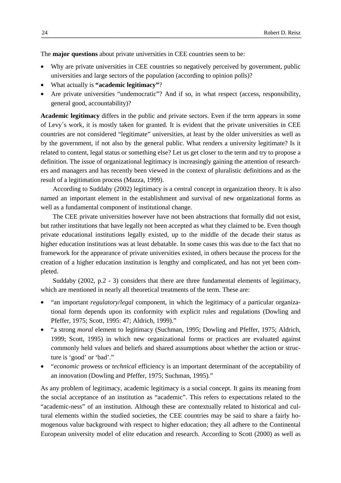The **major questions** about private universities in CEE countries seem to be:

- Why are private universities in CEE countries so negatively perceived by government, public universities and large sectors of the population (according to opinion polls)?
- What actually is **"academic legitimacy"**?
- Are private universities "undemocratic"? And if so, in what respect (access, responsibility, general good, accountability)?

**Academic legitimacy** differs in the public and private sectors. Even if the term appears in some of Levy´s work, it is mostly taken for granted. It is evident that the private universities in CEE countries are not considered "legitimate" universities, at least by the older universities as well as by the government, if not also by the general public. What renders a university legitimate? Is it related to content, legal status or something else? Let us get closer to the term and try to propose a definition. The issue of organizational legitimacy is increasingly gaining the attention of researchers and managers and has recently been viewed in the context of pluralistic definitions and as the result of a legitimation process (Mazza, 1999).

According to Suddaby (2002) legitimacy is a central concept in organization theory. It is also named an important element in the establishment and survival of new organizational forms as well as a fundamental component of institutional change.

The CEE private universities however have not been abstractions that formally did not exist, but rather institutions that have legally not been accepted as what they claimed to be. Even though private educational institutions legally existed, up to the middle of the decade their status as higher education institutions was at least debatable. In some cases this was due to the fact that no framework for the appearance of private universities existed, in others because the process for the creation of a higher education institution is lengthy and complicated, and has not yet been completed.

Suddaby (2002, p.2 - 3) considers that there are three fundamental elements of legitimacy, which are mentioned in nearly all theoretical treatments of the term. These are:

- "an important *regulatory/legal* component, in which the legitimacy of a particular organizational form depends upon its conformity with explicit rules and regulations (Dowling and Pfeffer, 1975; Scott, 1995: 47; Aldrich, 1999)."
- "a strong *moral* element to legitimacy (Suchman, 1995; Dowling and Pfeffer, 1975; Aldrich, 1999; Scott, 1995) in which new organizational forms or practices are evaluated against commonly held values and beliefs and shared assumptions about whether the action or structure is 'good' or 'bad'."
- "*economic* prowess or *technical* efficiency is an important determinant of the acceptability of an innovation (Dowling and Pfeffer, 1975; Suchman, 1995)."

As any problem of legitimacy, academic legitimacy is a social concept. It gains its meaning from the social acceptance of an institution as "academic". This refers to expectations related to the "academic-ness" of an institution. Although these are contextually related to historical and cultural elements within the studied societies, the CEE countries may be said to share a fairly homogenous value background with respect to higher education; they all adhere to the Continental European university model of elite education and research. According to Scott (2000) as well as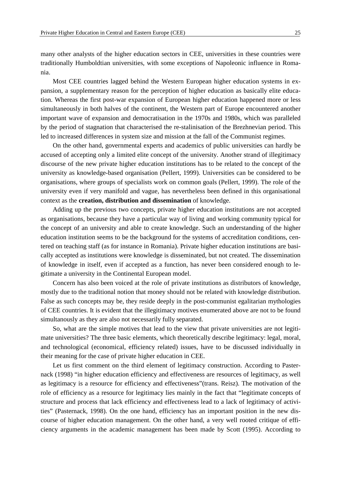many other analysts of the higher education sectors in CEE, universities in these countries were traditionally Humboldtian universities, with some exceptions of Napoleonic influence in Romania.

Most CEE countries lagged behind the Western European higher education systems in expansion, a supplementary reason for the perception of higher education as basically elite education. Whereas the first post-war expansion of European higher education happened more or less simultaneously in both halves of the continent, the Western part of Europe encountered another important wave of expansion and democratisation in the 1970s and 1980s, which was paralleled by the period of stagnation that characterised the re-stalinisation of the Brezhnevian period. This led to increased differences in system size and mission at the fall of the Communist regimes.

On the other hand, governmental experts and academics of public universities can hardly be accused of accepting only a limited elite concept of the university. Another strand of illegitimacy discourse of the new private higher education institutions has to be related to the concept of the university as knowledge-based organisation (Pellert, 1999). Universities can be considered to be organisations, where groups of specialists work on common goals (Pellert, 1999). The role of the university even if very manifold and vague, has nevertheless been defined in this organisational context as the **creation, distribution and dissemination** of knowledge.

Adding up the previous two concepts, private higher education institutions are not accepted as organisations, because they have a particular way of living and working community typical for the concept of an university and able to create knowledge. Such an understanding of the higher education institution seems to be the background for the systems of accreditation conditions, centered on teaching staff (as for instance in Romania). Private higher education institutions are basically accepted as institutions were knowledge is disseminated, but not created. The dissemination of knowledge in itself, even if accepted as a function, has never been considered enough to legitimate a university in the Continental European model.

Concern has also been voiced at the role of private institutions as distributors of knowledge, mostly due to the traditional notion that money should not be related with knowledge distribution. False as such concepts may be, they reside deeply in the post-communist egalitarian mythologies of CEE countries. It is evident that the illegitimacy motives enumerated above are not to be found simultanously as they are also not necessarily fully separated.

So, what are the simple motives that lead to the view that private universities are not legitimate universities? The three basic elements, which theoretically describe legitimacy: legal, moral, and technological (economical, efficiency related) issues, have to be discussed individually in their meaning for the case of private higher education in CEE.

Let us first comment on the third element of legitimacy construction. According to Pasternack (1998) "in higher education efficiency and effectiveness are resources of legitimacy, as well as legitimacy is a resource for efficiency and effectiveness"(trans. Reisz). The motivation of the role of efficiency as a resource for legitimacy lies mainly in the fact that "legitimate concepts of structure and process that lack efficiency and effectiveness lead to a lack of legitimacy of activities" (Pasternack, 1998). On the one hand, efficiency has an important position in the new discourse of higher education management. On the other hand, a very well rooted critique of efficiency arguments in the academic management has been made by Scott (1995). According to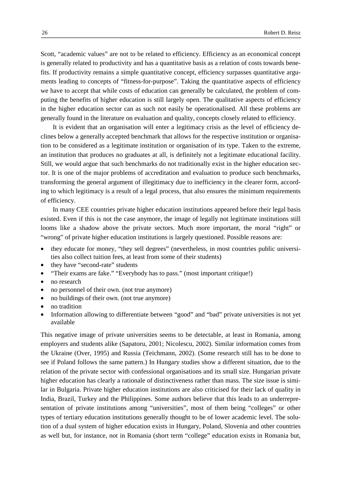Scott, "academic values" are not to be related to efficiency. Efficiency as an economical concept is generally related to productivity and has a quantitative basis as a relation of costs towards benefits. If productivity remains a simple quantitative concept, efficiency surpasses quantitative arguments leading to concepts of "fitness-for-purpose". Taking the quantitative aspects of efficiency we have to accept that while costs of education can generally be calculated, the problem of computing the benefits of higher education is still largely open. The qualitative aspects of efficiency in the higher education sector can as such not easily be operationalised. All these problems are generally found in the literature on evaluation and quality, concepts closely related to efficiency.

It is evident that an organisation will enter a legitimacy crisis as the level of efficiency declines below a generally accepted benchmark that allows for the respective institution or organisation to be considered as a legitimate institution or organisation of its type. Taken to the extreme, an institution that produces no graduates at all, is definitely not a legitimate educational facility. Still, we would argue that such benchmarks do not traditionally exist in the higher education sector. It is one of the major problems of accreditation and evaluation to produce such benchmarks, transforming the general argument of illegitimacy due to inefficiency in the clearer form, according to which legitimacy is a result of a legal process, that also ensures the minimum requirements of efficiency.

In many CEE countries private higher education institutions appeared before their legal basis existed. Even if this is not the case anymore, the image of legally not legitimate institutions still looms like a shadow above the private sectors. Much more important, the moral "right" or "wrong" of private higher education institutions is largely questioned. Possible reasons are:

- they educate for money, "they sell degrees" (nevertheless, in most countries public universities also collect tuition fees, at least from some of their students)
- they have "second-rate" students
- "Their exams are fake." "Everybody has to pass." (most important critique!)
- no research
- no personnel of their own. (not true anymore)
- no buildings of their own. (not true anymore)
- no tradition
- Information allowing to differentiate between "good" and "bad" private universities is not yet available

This negative image of private universities seems to be detectable, at least in Romania, among employers and students alike (Sapatoru, 2001; Nicolescu, 2002). Similar information comes from the Ukraine (Over, 1995) and Russia (Teichmann, 2002). (Some research still has to be done to see if Poland follows the same pattern.) In Hungary studies show a different situation, due to the relation of the private sector with confessional organisations and its small size. Hungarian private higher education has clearly a rationale of distinctiveness rather than mass. The size issue is similar in Bulgaria. Private higher education institutions are also criticised for their lack of quality in India, Brazil, Turkey and the Philippines. Some authors believe that this leads to an underrepresentation of private institutions among "universities", most of them being "colleges" or other types of tertiary education institutions generally thought to be of lower academic level. The solution of a dual system of higher education exists in Hungary, Poland, Slovenia and other countries as well but, for instance, not in Romania (short term "college" education exists in Romania but,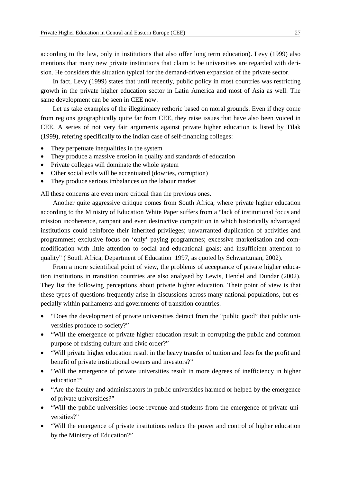according to the law, only in institutions that also offer long term education). Levy (1999) also mentions that many new private institutions that claim to be universities are regarded with derision. He considers this situation typical for the demand-driven expansion of the private sector.

In fact, Levy (1999) states that until recently, public policy in most countries was restricting growth in the private higher education sector in Latin America and most of Asia as well. The same development can be seen in CEE now.

Let us take examples of the illegitimacy rethoric based on moral grounds. Even if they come from regions geographically quite far from CEE, they raise issues that have also been voiced in CEE. A series of not very fair arguments against private higher education is listed by Tilak (1999), refering specifically to the Indian case of self-financing colleges:

- They perpetuate inequalities in the system
- They produce a massive erosion in quality and standards of education
- Private colleges will dominate the whole system
- Other social evils will be accentuated (dowries, corruption)
- They produce serious imbalances on the labour market

All these concerns are even more critical than the previous ones.

Another quite aggressive critique comes from South Africa, where private higher education according to the Ministry of Education White Paper suffers from a "lack of institutional focus and mission incoherence, rampant and even destructive competition in which historically advantaged institutions could reinforce their inherited privileges; unwarranted duplication of activities and programmes; exclusive focus on 'only' paying programmes; excessive marketisation and commodification with little attention to social and educational goals; and insufficient attention to quality" ( South Africa, Department of Education 1997, as quoted by Schwartzman, 2002).

From a more scientifical point of view, the problems of acceptance of private higher education institutions in transition countries are also analysed by Lewis, Hendel and Dundar (2002). They list the following perceptions about private higher education. Their point of view is that these types of questions frequently arise in discussions across many national populations, but especially within parliaments and governments of transition countries.

- "Does the development of private universities detract from the "public good" that public universities produce to society?"
- "Will the emergence of private higher education result in corrupting the public and common purpose of existing culture and civic order?"
- "Will private higher education result in the heavy transfer of tuition and fees for the profit and benefit of private institutional owners and investors?"
- "Will the emergence of private universities result in more degrees of inefficiency in higher education?"
- "Are the faculty and administrators in public universities harmed or helped by the emergence of private universities?"
- "Will the public universities loose revenue and students from the emergence of private universities?"
- "Will the emergence of private institutions reduce the power and control of higher education by the Ministry of Education?"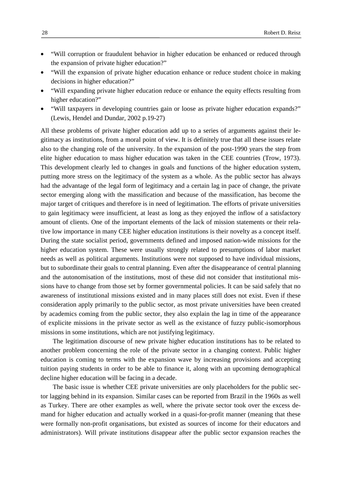- "Will corruption or fraudulent behavior in higher education be enhanced or reduced through the expansion of private higher education?"
- "Will the expansion of private higher education enhance or reduce student choice in making decisions in higher education?"
- "Will expanding private higher education reduce or enhance the equity effects resulting from higher education?"
- "Will taxpayers in developing countries gain or loose as private higher education expands?" (Lewis, Hendel and Dundar, 2002 p.19-27)

All these problems of private higher education add up to a series of arguments against their legitimacy as institutions, from a moral point of view. It is definitely true that all these issues relate also to the changing role of the university. In the expansion of the post-1990 years the step from elite higher education to mass higher education was taken in the CEE countries (Trow, 1973). This development clearly led to changes in goals and functions of the higher education system, putting more stress on the legitimacy of the system as a whole. As the public sector has always had the advantage of the legal form of legitimacy and a certain lag in pace of change, the private sector emerging along with the massification and because of the massification, has become the major target of critiques and therefore is in need of legitimation. The efforts of private universities to gain legitimacy were insufficient, at least as long as they enjoyed the inflow of a satisfactory amount of clients. One of the important elements of the lack of mission statements or their relative low importance in many CEE higher education institutions is their novelty as a concept itself. During the state socialist period, governments defined and imposed nation-wide missions for the higher education system. These were usually strongly related to presumptions of labor market needs as well as political arguments. Institutions were not supposed to have individual missions, but to subordinate their goals to central planning. Even after the disappearance of central planning and the autonomisation of the institutions, most of these did not consider that institutional missions have to change from those set by former governmental policies. It can be said safely that no awareness of institutional missions existed and in many places still does not exist. Even if these consideration apply primarily to the public sector, as most private universities have been created by academics coming from the public sector, they also explain the lag in time of the appearance of explicite missions in the private sector as well as the existance of fuzzy public-isomorphous missions in some institutions, which are not justifying legitimacy.

The legitimation discourse of new private higher education institutions has to be related to another problem concerning the role of the private sector in a changing context. Public higher education is coming to terms with the expansion wave by increasing provisions and accepting tuition paying students in order to be able to finance it, along with an upcoming demographical decline higher education will be facing in a decade.

The basic issue is whether CEE private universities are only placeholders for the public sector lagging behind in its expansion. Similar cases can be reported from Brazil in the 1960s as well as Turkey. There are other examples as well, where the private sector took over the excess demand for higher education and actually worked in a quasi-for-profit manner (meaning that these were formally non-profit organisations, but existed as sources of income for their educators and administrators). Will private institutions disappear after the public sector expansion reaches the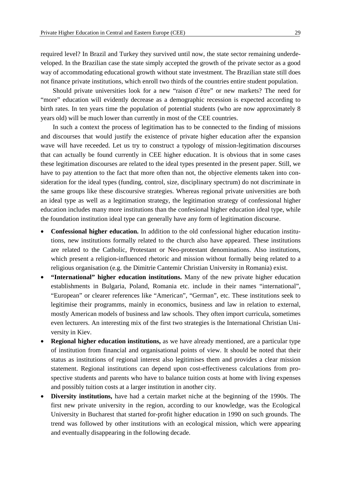required level? In Brazil and Turkey they survived until now, the state sector remaining underdeveloped. In the Brazilian case the state simply accepted the growth of the private sector as a good way of accommodating educational growth without state investment. The Brazilian state still does not finance private institutions, which enroll two thirds of the countries entire student population.

Should private universities look for a new "raison d`être" or new markets? The need for "more" education will evidently decrease as a demographic recession is expected according to birth rates. In ten years time the population of potential students (who are now approximately 8 years old) will be much lower than currently in most of the CEE countries.

In such a context the process of legitimation has to be connected to the finding of missions and discourses that would justify the existence of private higher education after the expansion wave will have receeded. Let us try to construct a typology of mission-legitimation discourses that can actually be found currently in CEE higher education. It is obvious that in some cases these legitimation discourses are related to the ideal types presented in the present paper. Still, we have to pay attention to the fact that more often than not, the objective elements taken into consideration for the ideal types (funding, control, size, disciplinary spectrum) do not discriminate in the same groups like these discoursive strategies. Whereas regional private universities are both an ideal type as well as a legitimation strategy, the legitimation strategy of confessional higher education includes many more institutions than the confesional higher education ideal type, while the foundation institution ideal type can generally have any form of legitimation discourse.

- **Confessional higher education.** In addition to the old confessional higher education institutions, new institutions formally related to the church also have appeared. These institutions are related to the Catholic, Protestant or Neo-protestant denominations. Also institutions, which present a religion-influenced rhetoric and mission without formally being related to a religious organisation (e.g. the Dimitrie Cantemir Christian University in Romania) exist.
- **"International" higher education institutions.** Many of the new private higher education establishments in Bulgaria, Poland, Romania etc. include in their names "international", "European" or clearer references like "American", "German", etc. These institutions seek to legitimise their programms, mainly in economics, business and law in relation to external, mostly American models of business and law schools. They often import curricula, sometimes even lecturers. An interesting mix of the first two strategies is the International Christian University in Kiev.
- **Regional higher education institutions,** as we have already mentioned, are a particular type of institution from financial and organisational points of view. It should be noted that their status as institutions of regional interest also legitimises them and provides a clear mission statement. Regional institutions can depend upon cost-effectiveness calculations from prospective students and parents who have to balance tuition costs at home with living expenses and possibly tuition costs at a larger institution in another city.
- **Diversity institutions,** have had a certain market niche at the beginning of the 1990s. The first new private university in the region, according to our knowledge, was the Ecological University in Bucharest that started for-profit higher education in 1990 on such grounds. The trend was followed by other institutions with an ecological mission, which were appearing and eventually disappearing in the following decade.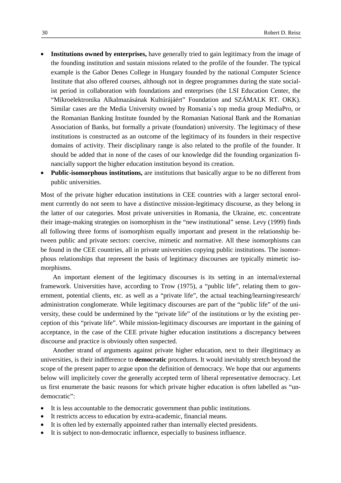- **Institutions owned by enterprises,** have generally tried to gain legitimacy from the image of the founding institution and sustain missions related to the profile of the founder. The typical example is the Gabor Denes College in Hungary founded by the national Computer Science Institute that also offered courses, although not in degree programmes during the state socialist period in collaboration with foundations and enterprises (the LSI Education Center, the "Mikroelektronika Alkalmazásának Kultúrájáért" Foundation and SZÁMALK RT. OKK). Similar cases are the Media University owned by Romania´s top media group MediaPro, or the Romanian Banking Institute founded by the Romanian National Bank and the Romanian Association of Banks, but formally a private (foundation) university. The legitimacy of these institutions is constructed as an outcome of the legitimacy of its founders in their respective domains of activity. Their disciplinary range is also related to the profile of the founder. It should be added that in none of the cases of our knowledge did the founding organization financially support the higher education institution beyond its creation.
- **Public-isomorphous institutions,** are institutions that basically argue to be no different from public universities.

Most of the private higher education institutions in CEE countries with a larger sectoral enrolment currently do not seem to have a distinctive mission-legitimacy discourse, as they belong in the latter of our categories. Most private universities in Romania, the Ukraine, etc. concentrate their image-making strategies on isomorphism in the "new institutional" sense. Levy (1999) finds all following three forms of isomorphism equally important and present in the relationship between public and private sectors: coercive, mimetic and normative. All these isomorphisms can be found in the CEE countries, all in private universities copying public institutions. The isomorphous relationships that represent the basis of legitimacy discourses are typically mimetic isomorphisms.

An important element of the legitimacy discourses is its setting in an internal/external framework. Universities have, according to Trow (1975), a "public life", relating them to government, potential clients, etc. as well as a "private life", the actual teaching/learning/research/ administration conglomerate. While legitimacy discourses are part of the "public life" of the university, these could be undermined by the "private life" of the institutions or by the existing perception of this "private life". While mission-legitimacy discourses are important in the gaining of acceptance, in the case of the CEE private higher education institutions a discrepancy between discourse and practice is obviously often suspected.

Another strand of arguments against private higher education, next to their illegitimacy as universities, is their indifference to **democratic** procedures. It would inevitably stretch beyond the scope of the present paper to argue upon the definition of democracy. We hope that our arguments below will implicitely cover the generally accepted term of liberal representative democracy. Let us first enumerate the basic reasons for which private higher education is often labelled as "undemocratic":

- It is less accountable to the democratic government than public institutions.
- It restricts access to education by extra-academic, financial means.
- It is often led by externally appointed rather than internally elected presidents.
- It is subject to non-democratic influence, especially to business influence.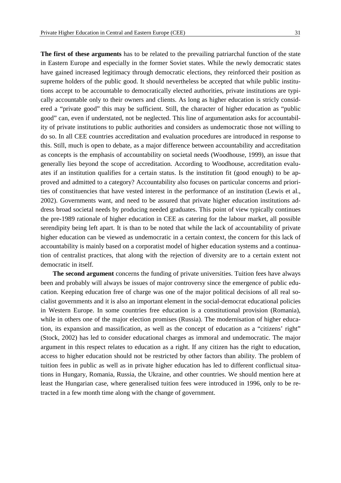**The first of these arguments** has to be related to the prevailing patriarchal function of the state in Eastern Europe and especially in the former Soviet states. While the newly democratic states have gained increased legitimacy through democratic elections, they reinforced their position as supreme holders of the public good. It should nevertheless be accepted that while public institutions accept to be accountable to democratically elected authorities, private institutions are typically accountable only to their owners and clients. As long as higher education is stricly considered a "private good" this may be sufficient. Still, the character of higher education as "public good" can, even if understated, not be neglected. This line of argumentation asks for accountability of private institutions to public authorities and considers as undemocratic those not willing to do so. In all CEE countries accreditation and evaluation procedures are introduced in response to this. Still, much is open to debate, as a major difference between accountability and accreditation as concepts is the emphasis of accountability on societal needs (Woodhouse, 1999), an issue that generally lies beyond the scope of accreditation. According to Woodhouse, accreditation evaluates if an institution qualifies for a certain status. Is the institution fit (good enough) to be approved and admitted to a category? Accountability also focuses on particular concerns and priorities of constituencies that have vested interest in the performance of an institution (Lewis et al., 2002). Governments want, and need to be assured that private higher education institutions address broad societal needs by producing needed graduates. This point of view typically continues the pre-1989 rationale of higher education in CEE as catering for the labour market, all possible serendipity being left apart. It is than to be noted that while the lack of accountability of private higher education can be viewed as undemocratic in a certain context, the concern for this lack of accountability is mainly based on a corporatist model of higher education systems and a continuation of centralist practices, that along with the rejection of diversity are to a certain extent not democratic in itself.

**The second argument** concerns the funding of private universities. Tuition fees have always been and probably will always be issues of major controversy since the emergence of public education. Keeping education free of charge was one of the major political decisions of all real socialist governments and it is also an important element in the social-democrat educational policies in Western Europe. In some countries free education is a constitutional provision (Romania), while in others one of the major election promises (Russia). The modernisation of higher education, its expansion and massification, as well as the concept of education as a "citizens' right" (Stock, 2002) has led to consider educational charges as immoral and undemocratic. The major argument in this respect relates to education as a right. If any citizen has the right to education, access to higher education should not be restricted by other factors than ability. The problem of tuition fees in public as well as in private higher education has led to different conflictual situations in Hungary, Romania, Russia, the Ukraine, and other countries. We should mention here at least the Hungarian case, where generalised tuition fees were introduced in 1996, only to be retracted in a few month time along with the change of government.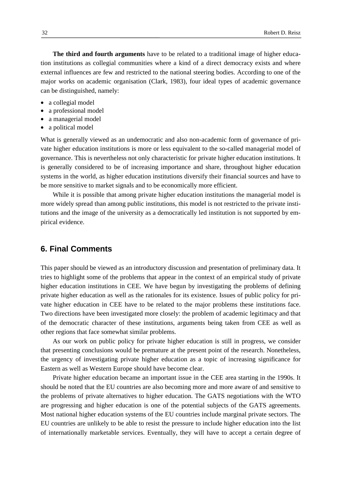**The third and fourth arguments** have to be related to a traditional image of higher education institutions as collegial communities where a kind of a direct democracy exists and where external influences are few and restricted to the national steering bodies. According to one of the major works on academic organisation (Clark, 1983), four ideal types of academic governance can be distinguished, namely:

- a collegial model
- a professional model
- a managerial model
- a political model

What is generally viewed as an undemocratic and also non-academic form of governance of private higher education institutions is more or less equivalent to the so-called managerial model of governance. This is nevertheless not only characteristic for private higher education institutions. It is generally considered to be of increasing importance and share, throughout higher education systems in the world, as higher education institutions diversify their financial sources and have to be more sensitive to market signals and to be economically more efficient.

While it is possible that among private higher education institutions the managerial model is more widely spread than among public institutions, this model is not restricted to the private institutions and the image of the university as a democratically led institution is not supported by empirical evidence.

# **6. Final Comments**

This paper should be viewed as an introductory discussion and presentation of preliminary data. It tries to highlight some of the problems that appear in the context of an empirical study of private higher education institutions in CEE. We have begun by investigating the problems of defining private higher education as well as the rationales for its existence. Issues of public policy for private higher education in CEE have to be related to the major problems these institutions face. Two directions have been investigated more closely: the problem of academic legitimacy and that of the democratic character of these institutions, arguments being taken from CEE as well as other regions that face somewhat similar problems.

As our work on public policy for private higher education is still in progress, we consider that presenting conclusions would be premature at the present point of the research. Nonetheless, the urgency of investigating private higher education as a topic of increasing significance for Eastern as well as Western Europe should have become clear.

Private higher education became an important issue in the CEE area starting in the 1990s. It should be noted that the EU countries are also becoming more and more aware of and sensitive to the problems of private alternatives to higher education. The GATS negotiations with the WTO are progressing and higher education is one of the potential subjects of the GATS agreements. Most national higher education systems of the EU countries include marginal private sectors. The EU countries are unlikely to be able to resist the pressure to include higher education into the list of internationally marketable services. Eventually, they will have to accept a certain degree of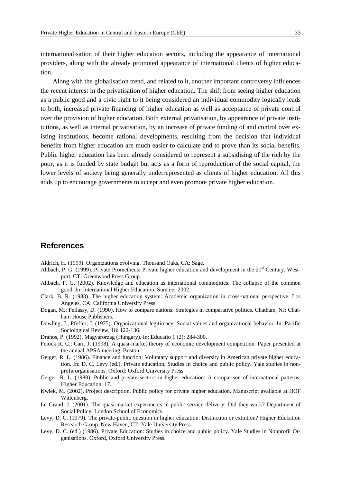internationalisation of their higher education sectors, including the appearance of international providers, along with the already promoted appearance of international clients of higher education.

Along with the globalisation trend, and related to it, another important controversy influences the recent interest in the privatisation of higher education. The shift from seeing higher education as a public good and a civic right to it being considered an individual commodity logically leads to both, increased private financing of higher education as well as acceptance of private control over the provision of higher education. Both external privatisation, by appearance of private institutions, as well as internal privatisation, by an increase of private funding of and control over existing institutions, become rational developments, resulting from the decision that individual benefits from higher education are much easier to calculate and to prove than its social benefits. Public higher education has been already considered to represent a subsidising of the rich by the poor, as it is funded by state budget but acts as a form of reproduction of the social capital, the lower levels of society being generally underrepresented as clients of higher education. All this adds up to encourage governments to accept and even promote private higher education.

# **References**

Aldrich, H. (1999). Organizations evolving. Thousand Oaks, CA: Sage.

- Altbach, P. G. (1999). Private Prometheus: Private higher education and development in the 21<sup>st</sup> Century. Westport, CT: Greenwood Press Group.
- Altbach, P. G. (2002). Knowledge and education as international commodities: The collapse of the common good. In: International Higher Education, Summer 2002.
- Clark, B. R. (1983). The higher education system: Academic organization in cross-national perspective. Los Angeles, CA: California University Press.
- Dogan, M.; Pellassy, D. (1990). How to compare nations: Strategies in comparative politics. Chatham, NJ: Chatham House Publishers.
- Dowling, J., Pfeffer, J. (1975). Organizational legitimacy: Social values and organizational behavior. In: Pacific Sociological Review, 18: 122-136.
- Drahos, P. (1992). Magyarorzag (Hungary). In: Educatio 1 (2): 284-300.
- Feiock R. C.; Carr, J. (1998). A quasi-market theory of economic development competition. Paper presented at the annual APSA meeting, Boston.
- Geiger, R. L. (1986). Finance and function: Voluntary support and diversity in American private higher education. In: D. C. Levy (ed.), Private education. Studies in choice and public policy. Yale studies in nonprofit organisations. Oxford: Oxford University Press.
- Geiger, R. L. (1988). Public and private sectors in higher education: A comparison of international patterns. Higher Education, 17.
- Kwiek, M. (2002). Project description. Public policy for private higher education. Manuscript available at HOF Wittenberg.
- Le Grand, J. (2001). The quasi-market experiments in public service delivery: Did they work? Department of Social Policy: London School of Economics.
- Levy, D. C. (1979). The private-public question in higher education: Distinction or extintion? Higher Education Research Group. New Haven, CT: Yale University Press.
- Levy, D. C. (ed.) (1986). Private Education: Studies in choice and public policy. Yale Studies in Nonprofit Organisations. Oxford, Oxford University Press.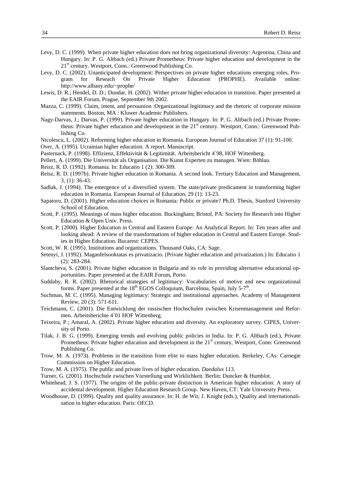- Levy, D. C. (1999). When private higher education does not bring organizational diversity: Argentina, China and Hungary. In: P. G. Altbach (ed.) Private Prometheus: Private higher education and development in the  $21<sup>st</sup>$  century. Westport, Conn.: Greenwood Publishing Co.
- Levy, D. C. (2002). Unanticipated development: Perspectives on private higher educations emerging roles, Program for Reseach On Private Higher Education (PROPHE). Available online: http://www.albany.edu/~prophe/
- Lewis, D. R.; Hendel, D. D.; Dundar, H. (2002). Wither private higher education in transition. Paper presented at the EAIR Forum, Prague, September 9th 2002.
- Mazza, C. (1999). Claim, intent, and persuasion :Organizational legitimacy and the rhetoric of corporate mission statements. Boston, MA : Kluwer Academic Publishers.
- Nagy-Darvas, J.; Darvas, P. (1999). Private higher education in Hungary. In: P. G. Altbach (ed.) Private Prometheus: Private higher education and development in the 21<sup>st</sup> century. Westport, Conn.: Greenwood Publishing Co.
- Nicolescu, L. (2002). Reforming higher education in Romania. European Journal of Education 37 (1): 91-100.
- Over, A. (1995). Ucrainian higher education. A report. Manuscript.
- Pasternack, P. (1998). Effizienz, Effektivität & Legitimität. Arbeitsbericht 4´98, HOF Wittenberg.
- Pellert, A. (1999). Die Universität als Organisation. Die Kunst Experten zu managen. Wien: Böhlau.
- Reisz, R. D. (1992). Romania. In: Educatio 1 (2): 300-309.
- Reisz, R. D. (1997b). Private higher education in Romania. A second look. Tertiary Education and Management, 3, (1): 36-43.
- Sadlak, J. (1994). The emergence of a diversified system. The state/private predicament in transforming higher education in Romania. European Journal of Education, 29 (1): 13-23.
- Sapatoru, D. (2001). Higher education choices in Romania: Public or private? Ph.D. Thesis, Stanford University School of Education.
- Scott, P. (1995). Meanings of mass higher education. Buckingham; Bristol, PA: Society for Research into Higher Education & Open Univ. Press.
- Scott, P. (2000). Higher Education in Central and Eastern Europe: An Analytical Report. In: Ten years after and looking ahead: A review of the transformations of higher education in Central and Eastern Europe. Studies in Higher Education. Bucarest: CEPES.
- Scott, W. R. (1995). Institutions and organizations. Thousand Oaks, CA: Sage.
- Setenyi, J. (1992). Maganfelsooktatas es privatizacio. (Private higher education and privatization.) In: Educatio 1 (2): 283-284.
- Slantcheva, S. (2001). Private higher education in Bulgaria and its role in providing alternative educational opportunities. Paper presented at the EAIR Forum, Porto.
- Suddaby, R. R. (2002). Rhetorical strategies of legitimacy: Vocabularies of motive and new organizational forms. Paper presented at the  $18<sup>th</sup>$  EGOS Colloquium, Barcelona, Spain, July 5-7<sup>th</sup>.
- Suchman, M. C. (1995). Managing legitimacy: Strategic and institutional approaches. Academy of Management Review, 20 (3): 571-611.
- Teichmann, C. (2001). Die Entwicklung der russischen Hochschulen zwischen Krisenmanagement und Reformen. Arbeitsberichte 4´01 HOF Wittenberg.
- Teixeira, P.; Amaral, A. (2002). Private higher education and diversity. An exploratory survey. CIPES, University of Porto.
- Tilak, J. B. G. (1999). Emerging trends and evolving public policies in India. In: P. G. Altbach (ed.), Private Prometheus: Private higher education and development in the 21<sup>st</sup> century, Westport, Conn: Greenwood Publishing Co.
- Trow, M. A. (1973). Problems in the transition from elite to mass higher education. Berkeley, CAs: Carnegie Commission on Higher Education.
- Trow, M. A. (1975). The public and private lives of higher education. *Daedalus* 113.
- Turner, G. (2001). Hochschule zwischen Vorstellung und Wirklichkeit. Berlin: Duncker & Humblot.
- Whitehead, J. S. (1977). The origins of the public-private distinction in American higher education: A story of accidental development. Higher Education Research Group. New Haven, CT: Yale University Press.
- Woodhouse, D. (1999). Quality and quality assurance. In: H. de Wit; J. Knight (eds.), Quality and internationalisation in higher education. Paris: OECD.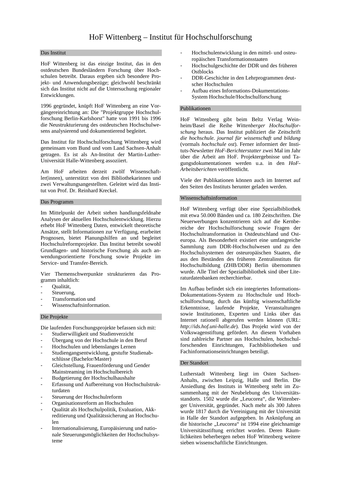#### Das Institut

HoF Wittenberg ist das einzige Institut, das in den ostdeutschen Bundesländern Forschung über Hochschulen betreibt. Daraus ergeben sich besondere Projekt- und Anwendungsbezüge; gleichwohl beschränkt sich das Institut nicht auf die Untersuchung regionaler Entwicklungen.

1996 gegründet, knüpft HoF Wittenberg an eine Vorgängereinrichtung an: Die "Projektgruppe Hochschulforschung Berlin-Karlshorst" hatte von 1991 bis 1996 die Neustrukturierung des ostdeutschen Hochschulwesens analysierend und dokumentierend begleitet.

Das Institut für Hochschulforschung Wittenberg wird gemeinsam vom Bund und vom Land Sachsen-Anhalt getragen. Es ist als An-Institut der Martin-Luther-Universität Halle-Wittenberg assoziiert.

Am HoF arbeiten derzeit zwölf Wissenschaftler(innen), unterstützt von drei Bibliothekarinnen und zwei Verwaltungsangestellten. Geleitet wird das Institut von Prof. Dr. Reinhard Kreckel.

#### Das Programm

Im Mittelpunkt der Arbeit stehen handlungsfeldnahe Analysen der aktuellen Hochschulentwicklung. Hierzu erhebt HoF Wittenberg Daten, entwickelt theoretische Ansätze, stellt Informationen zur Verfügung, erarbeitet Prognosen, bietet Planungshilfen an und begleitet Hochschulreformprojekte. Das Institut betreibt sowohl Grundlagen- und historische Forschung als auch anwendungsorientierte Forschung sowie Projekte im Service- und Transfer-Bereich.

Vier Themenschwerpunkte strukturieren das Programm inhaltlich:

- Oualität,
- Steuerung,
- Transformation und
- Wissenschaftsinformation.

#### Die Projekte

Die laufenden Forschungsprojekte befassen sich mit:

- Studierwilligkeit und Studienverzicht
- Übergang von der Hochschule in den Beruf
- Hochschulen und lebenslanges Lernen
- Studiengangsentwicklung, gestufte Studienabschlüsse (Bachelor/Master)
- Gleichstellung, Frauenförderung und Gender Mainstreaming im Hochschulbereich
- Budgetierung der Hochschulhaushalte
- Erfassung und Aufbereitung von Hochschulstrukturdaten
- Steuerung der Hochschulreform
- Organisationsreform an Hochschulen
- Qualität als Hochschulpolitik, Evaluation, Akkreditierung und Qualitätssicherung an Hochschulen
- Internationalisierung, Europäisierung und nationale Steuerungsmöglichkeiten der Hochschulsysteme
- Hochschulentwicklung in den mittel- und osteuropäischen Transformationsstaaten
- Hochschulgeschichte der DDR und des früheren **Ostblocks**
- DDR-Geschichte in den Lehrprogrammen deutscher Hochschulen
- Aufbau eines Informations-Dokumentations-System Hochschule/Hochschulforschung

#### Publikationen

HoF Wittenberg gibt beim Beltz Verlag Weinheim/Basel die Reihe *Wittenberger Hochschulforschung* heraus. Das Institut publiziert die Zeitschrift *die hochschule. journal für wissenschaft und bildung* (vormals *hochschule ost*). Ferner informiert der Instituts-Newsletter *HoF-Berichterstatter* zwei Mal im Jahr über die Arbeit am HoF. Projektergebnisse und Tagungsdokumentationen werden u.a. in den *HoF-Arbeitsberichten* veröffentlicht.

Viele der Publikationen können auch im Internet auf den Seiten des Instituts herunter geladen werden.

#### Wissenschaftsinformation

HoF Wittenberg verfügt über eine Spezialbibliothek mit etwa 50.000 Bänden und ca. 180 Zeitschriften. Die Neuerwerbungen konzentrieren sich auf die Kernbereiche der Hochschulforschung sowie Fragen der Hochschultransformation in Ostdeutschland und Osteuropa. Als Besonderheit existiert eine umfangreiche Sammlung zum DDR-Hochschulwesen und zu den Hochschulsystemen der osteuropäischen Staaten, die aus den Beständen des früheren Zentralinstituts für Hochschulbildung (ZHB/DDR) Berlin übernommen wurde. Alle Titel der Spezialbibliothek sind über Literaturdatenbanken recherchierbar.

Im Aufbau befindet sich ein integriertes Informations-Dokumentations-System zu Hochschule und Hochschulforschung, durch das künftig wissenschaftliche Erkenntnisse, laufende Projekte, Veranstaltungen sowie Institutionen, Experten und Links über das Internet rationell abgerufen werden können (URL: *http://ids.hof.uni-halle.de*). Das Projekt wird von der Volkswagenstiftung gefördert. An diesem Vorhaben sind zahlreiche Partner aus Hochschulen, hochschulforschenden Einrichtungen, Fachbibliotheken und Fachinformationseinrichtungen beteiligt.

#### Der Standort

Lutherstadt Wittenberg liegt im Osten Sachsen-Anhalts, zwischen Leipzig, Halle und Berlin. Die Ansiedlung des Instituts in Wittenberg steht im Zusammenhang mit der Neubelebung des Universitätsstandorts. 1502 wurde die "Leucorea", die Wittenberger Universität, gegründet. Nach mehr als 300 Jahren wurde 1817 durch die Vereinigung mit der Universität in Halle der Standort aufgegeben. In Anknüpfung an die historische "Leucorea" ist 1994 eine gleichnamige Universitätsstiftung errichtet worden. Deren Räumlichkeiten beherbergen neben HoF Wittenberg weitere sieben wissenschaftliche Einrichtungen.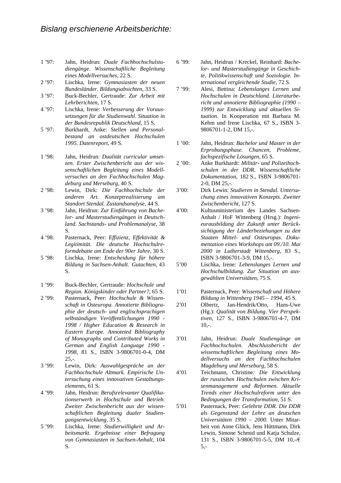- 1 '97: Jahn, Heidrun: *Duale Fachhochschulstudiengänge. Wissenschaftliche Begleitung eines Modellversuches*, 22 S.
- 2 '97: Lischka, Irene: *Gymnasiasten der neuen Bundesländer. Bildungsabsichten*, 33 S.
- 3 '97: Buck-Bechler, Gertraude: *Zur Arbeit mit Lehrberichten*, 17 S.
- 4 '97: Lischka, Irene: *Verbesserung der Voraussetzungen für die Studienwahl. Situation in der Bundesrepublik Deutschland*, 15 S.
- 5 '97: Burkhardt, Anke: *Stellen und Personalbestand an ostdeutschen Hochschulen 1995. Datenreport*, 49 S.
- 1 '98: Jahn, Heidrun: *Dualität curricular umsetzen. Erster Zwischenbericht aus der wissenschaftlichen Begleitung eines Modellversuches an den Fachhochschulen Magdeburg und Merseburg*, 40 S.
- 2 '98: Lewin, Dirk: *Die Fachhochschule der anderen Art. Konzeptrealisierung am Standort Stendal. Zustandsanalyse*, 44 S.
- 3 '98: Jahn, Heidrun: *Zur Einführung von Bachelor- und Masterstudiengängen in Deutschland. Sachstands- und Problemanalyse*, 38 S.
- 4 '98: Pasternack, Peer: *Effizienz, Effektivität & Legitimität. Die deutsche Hochschulreformdebatte am Ende der 90er Jahre*, 30 S.
- 5 '98: Lischka, Irene: *Entscheidung für höhere Bildung in Sachsen-Anhalt. Gutachten*, 43 S.
- 1 '99: Buck-Bechler, Gertraude: *Hochschule und Region. Königskinder oder Partner?*, 65 S.
- 2 '99: Pasternack, Peer: *Hochschule & Wissenschaft in Osteuropa. Annotierte Bibliographie der deutsch- und englischsprachigen selbständigen Veröffentlichungen 1990 - 1998 / Higher Education & Research in Eastern Europe. Annoteted Bibliography of Monographs and Contributed Works in German and English Language 1990 - 1998*, 81 S., ISBN 3-9806701-0-4, DM  $25. - .$
- 3 '99: Lewin, Dirk: *Auswahlgespräche an der Fachhochschule Altmark. Empirische Untersuchung eines innovativen Gestaltungselements,* 61 S.
- 4 '99: Jahn, Heidrun: *Berufsrelevanter Qualifikationserwerb in Hochschule und Betrieb. Zweiter Zwischenbericht aus der wissenschaftlichen Begleitung dualer Studiengangsentwicklung,* 35 S.
- 5 '99: Lischka, Irene: *Studierwilligkeit und Arbeitsmarkt. Ergebnisse einer Befragung von Gymnasiasten in Sachsen-Anhalt*, 104 S.
- 6 '99: Jahn, Heidrun / Kreckel, Reinhard: *Bachelor- und Masterstudiengänge in Geschichte, Politikwissenschaft und Soziologie. International vergleichende Studie*, 72 S.
- 7 '99: Alesi, Bettina: *Lebenslanges Lernen und Hochschulen in Deutschland. Literaturbericht und annotierte Bibliographie (1990 – 1999) zur Entwicklung und aktuellen Situation.* In Kooperation mit Barbara M. Kehm und Irene Lischka, 67 S., ISBN 3- 9806701-1-2, DM 15,-.
- 1 '00: Jahn, Heidrun: *Bachelor und Master in der Erprobungsphase. Chancen, Probleme, fachspezifische Lösungen*, 65 S.
- 2 '00: Anke Burkhardt: *Militär- und Polizeihochschulen in der DDR. Wissenschaftliche Dokumentation*, 182 S., ISBN 3-9806701- 2-0, DM 25,-.
- 3'00: Dirk Lewin: *Studieren in Stendal. Untersuchung eines innovativen Konzepts. Zweiter Zwischenbericht*, 127 S.
- 4'00: Kultusministerium des Landes Sachsen-Anhalt / HoF Wittenberg (Hrsg.): *Ingenieurausbildung der Zukunft unter Berücksichtigung der Länderbeziehungen zu den Staaten Mittel- und Osteuropas. Dokumentation eines Workshops am 09./10. Mai 2000 in Lutherstadt Wittenberg*, 83 S., ISBN 3-9806701-3-9, DM 15,-.
- 5'00 Lischka, Irene*: Lebenslanges Lernen und Hochschulbildung. Zur Situation an ausgewählten Universitäten*, 75 S.
- 1'01 Pasternack, Peer: *Wissenschaft und Höhere Bildung in Wittenberg 1945 – 1994*, 45 S.
- 2'01 Olbertz, Jan-Hendrik/Otto, Hans-Uwe (Hg.): *Qualität von Bildung*. *Vier Perspektiven,* 127 S., ISBN 3-9806701-4-7, DM  $10.-$
- 3'01 Jahn, Heidrun: *Duale Studiengänge an Fachhochschulen*. *Abschlussbericht der wissenschaftlichen Begleitung eines Modellversuchs an den Fachhochschulen Magdeburg und Merseburg*, 58 S.
- 4'01 Teichmann, Christine*: Die Entwicklung der russischen Hochschulen zwischen Krisenmanagement und Reformen. Aktuelle Trends einer Hochschulreform unter den Bedingungen der Transformation*, 51 S.
- 5'01 Pasternack, Peer: *Gelehrte DDR. Die DDR als Gegenstand der Lehre an deutschen Universitäten 1990 – 2000*. Unter Mitarbeit von Anne Glück, Jens Hüttmann, Dirk Lewin, Simone Schmid und Katia Schulze, 131 S., ISBN 3-9806701-5-5, DM 10,-/€ 5,-